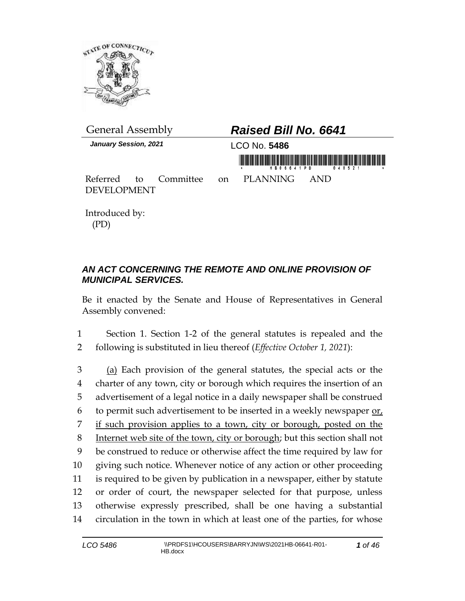

| <b>General Assembly</b>      |  |  | <b>Raised Bill No. 6641</b> |                                   |                  |  |
|------------------------------|--|--|-----------------------------|-----------------------------------|------------------|--|
| <b>January Session, 2021</b> |  |  |                             | LCO No. 5486                      |                  |  |
|                              |  |  |                             |                                   | HB06641PD 040521 |  |
|                              |  |  |                             | Referred to Committee on PLANNING | AND              |  |
| <b>DEVELOPMENT</b>           |  |  |                             |                                   |                  |  |

Introduced by: (PD)

## *AN ACT CONCERNING THE REMOTE AND ONLINE PROVISION OF MUNICIPAL SERVICES.*

Be it enacted by the Senate and House of Representatives in General Assembly convened:

1 Section 1. Section 1-2 of the general statutes is repealed and the 2 following is substituted in lieu thereof (*Effective October 1, 2021*):

 (a) Each provision of the general statutes, the special acts or the charter of any town, city or borough which requires the insertion of an advertisement of a legal notice in a daily newspaper shall be construed to permit such advertisement to be inserted in a weekly newspaper or, if such provision applies to a town, city or borough, posted on the Internet web site of the town, city or borough; but this section shall not be construed to reduce or otherwise affect the time required by law for giving such notice. Whenever notice of any action or other proceeding is required to be given by publication in a newspaper, either by statute or order of court, the newspaper selected for that purpose, unless otherwise expressly prescribed, shall be one having a substantial circulation in the town in which at least one of the parties, for whose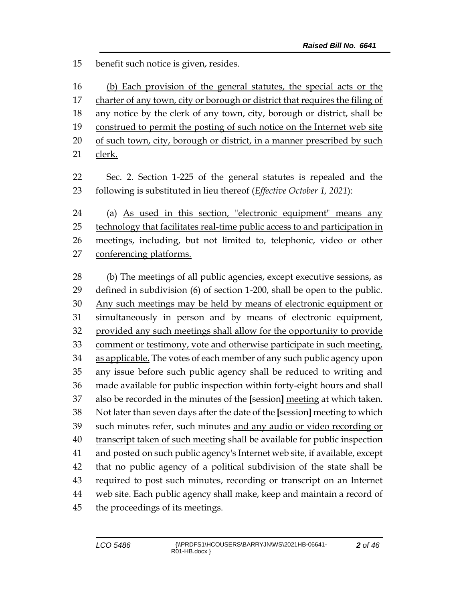benefit such notice is given, resides.

 (b) Each provision of the general statutes, the special acts or the charter of any town, city or borough or district that requires the filing of any notice by the clerk of any town, city, borough or district, shall be 19 construed to permit the posting of such notice on the Internet web site 20 of such town, city, borough or district, in a manner prescribed by such clerk.

 Sec. 2. Section 1-225 of the general statutes is repealed and the following is substituted in lieu thereof (*Effective October 1, 2021*):

 (a) As used in this section, "electronic equipment" means any technology that facilitates real-time public access to and participation in meetings, including, but not limited to, telephonic, video or other conferencing platforms.

 (b) The meetings of all public agencies, except executive sessions, as defined in subdivision (6) of section 1-200, shall be open to the public. Any such meetings may be held by means of electronic equipment or simultaneously in person and by means of electronic equipment, provided any such meetings shall allow for the opportunity to provide comment or testimony, vote and otherwise participate in such meeting, 34 as applicable. The votes of each member of any such public agency upon any issue before such public agency shall be reduced to writing and made available for public inspection within forty-eight hours and shall also be recorded in the minutes of the **[**session**]** meeting at which taken. Not later than seven days after the date of the **[**session**]** meeting to which such minutes refer, such minutes and any audio or video recording or transcript taken of such meeting shall be available for public inspection and posted on such public agency's Internet web site, if available, except that no public agency of a political subdivision of the state shall be required to post such minutes, recording or transcript on an Internet web site. Each public agency shall make, keep and maintain a record of the proceedings of its meetings.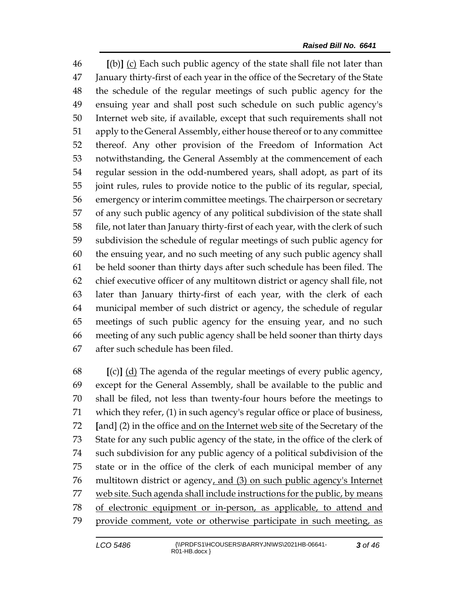**[**(b)**]** (c) Each such public agency of the state shall file not later than January thirty-first of each year in the office of the Secretary of the State the schedule of the regular meetings of such public agency for the ensuing year and shall post such schedule on such public agency's Internet web site, if available, except that such requirements shall not apply to the General Assembly, either house thereof or to any committee thereof. Any other provision of the Freedom of Information Act notwithstanding, the General Assembly at the commencement of each regular session in the odd-numbered years, shall adopt, as part of its joint rules, rules to provide notice to the public of its regular, special, emergency or interim committee meetings. The chairperson or secretary of any such public agency of any political subdivision of the state shall file, not later than January thirty-first of each year, with the clerk of such subdivision the schedule of regular meetings of such public agency for the ensuing year, and no such meeting of any such public agency shall be held sooner than thirty days after such schedule has been filed. The chief executive officer of any multitown district or agency shall file, not later than January thirty-first of each year, with the clerk of each municipal member of such district or agency, the schedule of regular meetings of such public agency for the ensuing year, and no such meeting of any such public agency shall be held sooner than thirty days after such schedule has been filed.

 **[**(c)**]** (d) The agenda of the regular meetings of every public agency, except for the General Assembly, shall be available to the public and shall be filed, not less than twenty-four hours before the meetings to which they refer, (1) in such agency's regular office or place of business, **[**and] (2) in the office and on the Internet web site of the Secretary of the State for any such public agency of the state, in the office of the clerk of such subdivision for any public agency of a political subdivision of the state or in the office of the clerk of each municipal member of any multitown district or agency, and (3) on such public agency's Internet web site. Such agenda shall include instructions for the public, by means of electronic equipment or in-person, as applicable, to attend and 79 provide comment, vote or otherwise participate in such meeting, as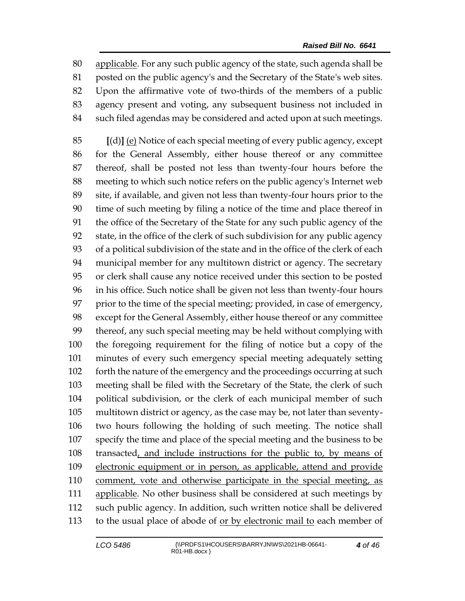applicable. For any such public agency of the state, such agenda shall be posted on the public agency's and the Secretary of the State's web sites. Upon the affirmative vote of two-thirds of the members of a public agency present and voting, any subsequent business not included in such filed agendas may be considered and acted upon at such meetings.

 **[**(d)**]** (e) Notice of each special meeting of every public agency, except for the General Assembly, either house thereof or any committee thereof, shall be posted not less than twenty-four hours before the meeting to which such notice refers on the public agency's Internet web site, if available, and given not less than twenty-four hours prior to the time of such meeting by filing a notice of the time and place thereof in the office of the Secretary of the State for any such public agency of the state, in the office of the clerk of such subdivision for any public agency of a political subdivision of the state and in the office of the clerk of each municipal member for any multitown district or agency. The secretary or clerk shall cause any notice received under this section to be posted in his office. Such notice shall be given not less than twenty-four hours prior to the time of the special meeting; provided, in case of emergency, except for the General Assembly, either house thereof or any committee thereof, any such special meeting may be held without complying with the foregoing requirement for the filing of notice but a copy of the minutes of every such emergency special meeting adequately setting 102 forth the nature of the emergency and the proceedings occurring at such meeting shall be filed with the Secretary of the State, the clerk of such political subdivision, or the clerk of each municipal member of such multitown district or agency, as the case may be, not later than seventy- two hours following the holding of such meeting. The notice shall specify the time and place of the special meeting and the business to be transacted, and include instructions for the public to, by means of electronic equipment or in person, as applicable, attend and provide comment, vote and otherwise participate in the special meeting, as applicable. No other business shall be considered at such meetings by such public agency. In addition, such written notice shall be delivered 113 to the usual place of abode of <u>or by electronic mail to</u> each member of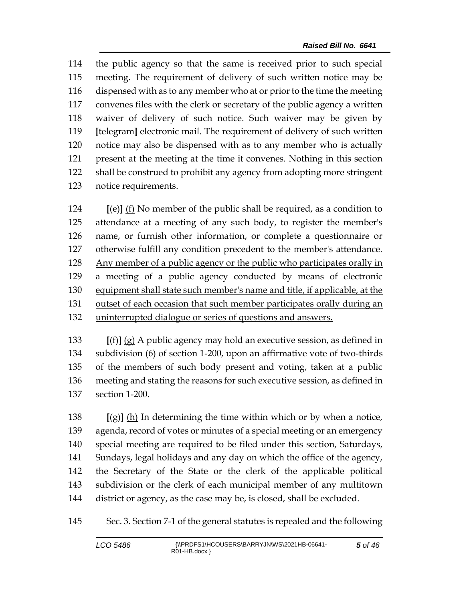the public agency so that the same is received prior to such special meeting. The requirement of delivery of such written notice may be dispensed with as to any member who at or prior to the time the meeting convenes files with the clerk or secretary of the public agency a written waiver of delivery of such notice. Such waiver may be given by **[**telegram**]** electronic mail. The requirement of delivery of such written notice may also be dispensed with as to any member who is actually present at the meeting at the time it convenes. Nothing in this section shall be construed to prohibit any agency from adopting more stringent notice requirements.

 **[**(e)**]** (f) No member of the public shall be required, as a condition to attendance at a meeting of any such body, to register the member's name, or furnish other information, or complete a questionnaire or otherwise fulfill any condition precedent to the member's attendance. Any member of a public agency or the public who participates orally in a meeting of a public agency conducted by means of electronic equipment shall state such member's name and title, if applicable, at the outset of each occasion that such member participates orally during an uninterrupted dialogue or series of questions and answers.

 **[**(f)**]** (g) A public agency may hold an executive session, as defined in subdivision (6) of section 1-200, upon an affirmative vote of two-thirds of the members of such body present and voting, taken at a public meeting and stating the reasons for such executive session, as defined in section 1-200.

 **[**(g)**]** (h) In determining the time within which or by when a notice, agenda, record of votes or minutes of a special meeting or an emergency special meeting are required to be filed under this section, Saturdays, Sundays, legal holidays and any day on which the office of the agency, the Secretary of the State or the clerk of the applicable political subdivision or the clerk of each municipal member of any multitown 144 district or agency, as the case may be, is closed, shall be excluded.

Sec. 3. Section 7-1 of the general statutes is repealed and the following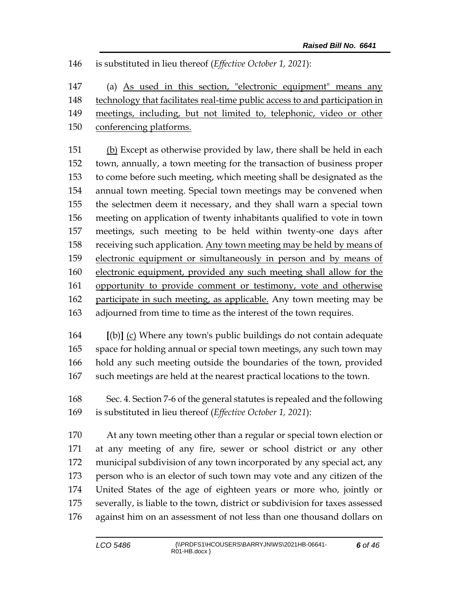is substituted in lieu thereof (*Effective October 1, 2021*):

 (a) As used in this section, "electronic equipment" means any technology that facilitates real-time public access to and participation in meetings, including, but not limited to, telephonic, video or other conferencing platforms.

 (b) Except as otherwise provided by law, there shall be held in each town, annually, a town meeting for the transaction of business proper to come before such meeting, which meeting shall be designated as the annual town meeting. Special town meetings may be convened when the selectmen deem it necessary, and they shall warn a special town meeting on application of twenty inhabitants qualified to vote in town meetings, such meeting to be held within twenty-one days after 158 receiving such application. Any town meeting may be held by means of electronic equipment or simultaneously in person and by means of electronic equipment, provided any such meeting shall allow for the opportunity to provide comment or testimony, vote and otherwise participate in such meeting, as applicable. Any town meeting may be adjourned from time to time as the interest of the town requires.

 **[**(b)**]** (c) Where any town's public buildings do not contain adequate space for holding annual or special town meetings, any such town may hold any such meeting outside the boundaries of the town, provided such meetings are held at the nearest practical locations to the town.

 Sec. 4. Section 7-6 of the general statutes is repealed and the following is substituted in lieu thereof (*Effective October 1, 2021*):

 At any town meeting other than a regular or special town election or at any meeting of any fire, sewer or school district or any other municipal subdivision of any town incorporated by any special act, any person who is an elector of such town may vote and any citizen of the United States of the age of eighteen years or more who, jointly or severally, is liable to the town, district or subdivision for taxes assessed against him on an assessment of not less than one thousand dollars on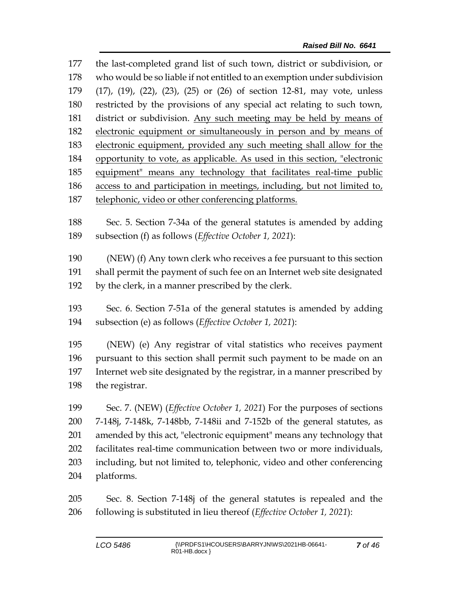the last-completed grand list of such town, district or subdivision, or who would be so liable if not entitled to an exemption under subdivision (17), (19), (22), (23), (25) or (26) of section 12-81, may vote, unless restricted by the provisions of any special act relating to such town, district or subdivision. Any such meeting may be held by means of electronic equipment or simultaneously in person and by means of electronic equipment, provided any such meeting shall allow for the opportunity to vote, as applicable. As used in this section, "electronic equipment" means any technology that facilitates real-time public access to and participation in meetings, including, but not limited to, telephonic, video or other conferencing platforms.

 Sec. 5. Section 7-34a of the general statutes is amended by adding subsection (f) as follows (*Effective October 1, 2021*):

 (NEW) (f) Any town clerk who receives a fee pursuant to this section shall permit the payment of such fee on an Internet web site designated by the clerk, in a manner prescribed by the clerk.

 Sec. 6. Section 7-51a of the general statutes is amended by adding subsection (e) as follows (*Effective October 1, 2021*):

 (NEW) (e) Any registrar of vital statistics who receives payment pursuant to this section shall permit such payment to be made on an Internet web site designated by the registrar, in a manner prescribed by the registrar.

 Sec. 7. (NEW) (*Effective October 1, 2021*) For the purposes of sections 7-148j, 7-148k, 7-148bb, 7-148ii and 7-152b of the general statutes, as amended by this act, "electronic equipment" means any technology that facilitates real-time communication between two or more individuals, including, but not limited to, telephonic, video and other conferencing platforms.

 Sec. 8. Section 7-148j of the general statutes is repealed and the following is substituted in lieu thereof (*Effective October 1, 2021*):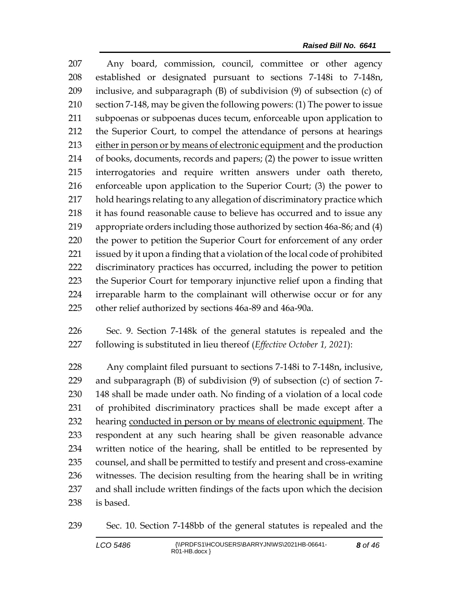Any board, commission, council, committee or other agency established or designated pursuant to sections 7-148i to 7-148n, inclusive, and subparagraph (B) of subdivision (9) of subsection (c) of section 7-148, may be given the following powers: (1) The power to issue subpoenas or subpoenas duces tecum, enforceable upon application to the Superior Court, to compel the attendance of persons at hearings 213 either in person or by means of electronic equipment and the production of books, documents, records and papers; (2) the power to issue written interrogatories and require written answers under oath thereto, enforceable upon application to the Superior Court; (3) the power to hold hearings relating to any allegation of discriminatory practice which it has found reasonable cause to believe has occurred and to issue any appropriate orders including those authorized by section 46a-86; and (4) the power to petition the Superior Court for enforcement of any order issued by it upon a finding that a violation of the local code of prohibited discriminatory practices has occurred, including the power to petition the Superior Court for temporary injunctive relief upon a finding that irreparable harm to the complainant will otherwise occur or for any other relief authorized by sections 46a-89 and 46a-90a.

 Sec. 9. Section 7-148k of the general statutes is repealed and the following is substituted in lieu thereof (*Effective October 1, 2021*):

 Any complaint filed pursuant to sections 7-148i to 7-148n, inclusive, and subparagraph (B) of subdivision (9) of subsection (c) of section 7- 148 shall be made under oath. No finding of a violation of a local code of prohibited discriminatory practices shall be made except after a hearing conducted in person or by means of electronic equipment. The respondent at any such hearing shall be given reasonable advance written notice of the hearing, shall be entitled to be represented by counsel, and shall be permitted to testify and present and cross-examine witnesses. The decision resulting from the hearing shall be in writing and shall include written findings of the facts upon which the decision is based.

Sec. 10. Section 7-148bb of the general statutes is repealed and the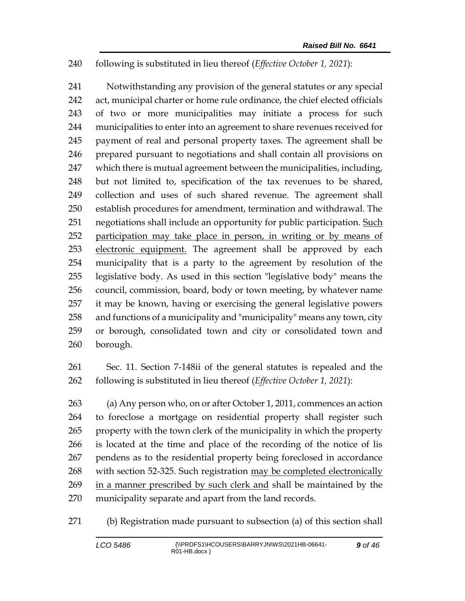following is substituted in lieu thereof (*Effective October 1, 2021*):

 Notwithstanding any provision of the general statutes or any special act, municipal charter or home rule ordinance, the chief elected officials of two or more municipalities may initiate a process for such municipalities to enter into an agreement to share revenues received for payment of real and personal property taxes. The agreement shall be prepared pursuant to negotiations and shall contain all provisions on which there is mutual agreement between the municipalities, including, but not limited to, specification of the tax revenues to be shared, collection and uses of such shared revenue. The agreement shall establish procedures for amendment, termination and withdrawal. The negotiations shall include an opportunity for public participation. Such participation may take place in person, in writing or by means of 253 electronic equipment. The agreement shall be approved by each municipality that is a party to the agreement by resolution of the legislative body. As used in this section "legislative body" means the council, commission, board, body or town meeting, by whatever name it may be known, having or exercising the general legislative powers and functions of a municipality and "municipality" means any town, city or borough, consolidated town and city or consolidated town and borough.

 Sec. 11. Section 7-148ii of the general statutes is repealed and the following is substituted in lieu thereof (*Effective October 1, 2021*):

 (a) Any person who, on or after October 1, 2011, commences an action to foreclose a mortgage on residential property shall register such property with the town clerk of the municipality in which the property is located at the time and place of the recording of the notice of lis pendens as to the residential property being foreclosed in accordance 268 with section 52-325. Such registration may be completed electronically in a manner prescribed by such clerk and shall be maintained by the municipality separate and apart from the land records.

(b) Registration made pursuant to subsection (a) of this section shall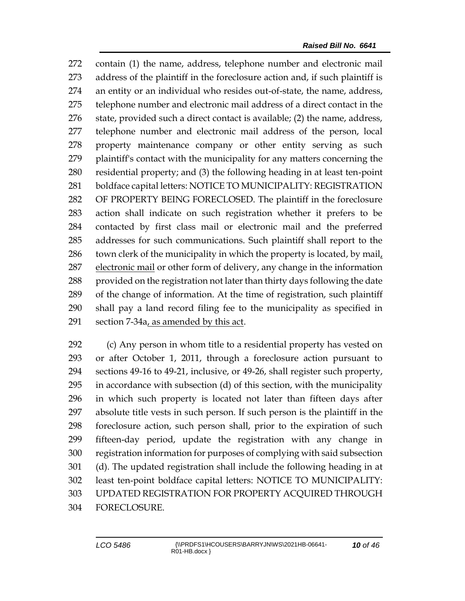contain (1) the name, address, telephone number and electronic mail address of the plaintiff in the foreclosure action and, if such plaintiff is an entity or an individual who resides out-of-state, the name, address, telephone number and electronic mail address of a direct contact in the state, provided such a direct contact is available; (2) the name, address, telephone number and electronic mail address of the person, local property maintenance company or other entity serving as such plaintiff's contact with the municipality for any matters concerning the residential property; and (3) the following heading in at least ten-point boldface capital letters: NOTICE TO MUNICIPALITY: REGISTRATION OF PROPERTY BEING FORECLOSED. The plaintiff in the foreclosure action shall indicate on such registration whether it prefers to be contacted by first class mail or electronic mail and the preferred addresses for such communications. Such plaintiff shall report to the 286 town clerk of the municipality in which the property is located, by mail $<sub>L</sub>$ </sub> electronic mail or other form of delivery, any change in the information 288 provided on the registration not later than thirty days following the date of the change of information. At the time of registration, such plaintiff shall pay a land record filing fee to the municipality as specified in section 7-34a, as amended by this act.

 (c) Any person in whom title to a residential property has vested on or after October 1, 2011, through a foreclosure action pursuant to sections 49-16 to 49-21, inclusive, or 49-26, shall register such property, in accordance with subsection (d) of this section, with the municipality in which such property is located not later than fifteen days after absolute title vests in such person. If such person is the plaintiff in the foreclosure action, such person shall, prior to the expiration of such fifteen-day period, update the registration with any change in registration information for purposes of complying with said subsection (d). The updated registration shall include the following heading in at least ten-point boldface capital letters: NOTICE TO MUNICIPALITY: UPDATED REGISTRATION FOR PROPERTY ACQUIRED THROUGH FORECLOSURE.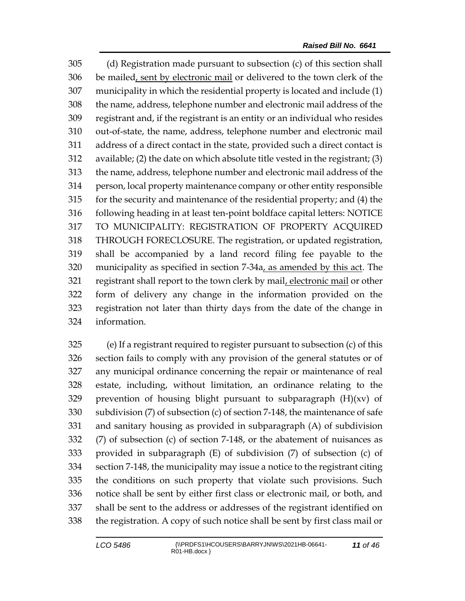(d) Registration made pursuant to subsection (c) of this section shall be mailed, sent by electronic mail or delivered to the town clerk of the municipality in which the residential property is located and include (1) the name, address, telephone number and electronic mail address of the registrant and, if the registrant is an entity or an individual who resides out-of-state, the name, address, telephone number and electronic mail address of a direct contact in the state, provided such a direct contact is available; (2) the date on which absolute title vested in the registrant; (3) the name, address, telephone number and electronic mail address of the person, local property maintenance company or other entity responsible for the security and maintenance of the residential property; and (4) the following heading in at least ten-point boldface capital letters: NOTICE TO MUNICIPALITY: REGISTRATION OF PROPERTY ACQUIRED THROUGH FORECLOSURE. The registration, or updated registration, shall be accompanied by a land record filing fee payable to the municipality as specified in section 7-34a, as amended by this act. The registrant shall report to the town clerk by mail, electronic mail or other form of delivery any change in the information provided on the registration not later than thirty days from the date of the change in information.

 (e) If a registrant required to register pursuant to subsection (c) of this section fails to comply with any provision of the general statutes or of any municipal ordinance concerning the repair or maintenance of real estate, including, without limitation, an ordinance relating to the 329 prevention of housing blight pursuant to subparagraph  $(H)(xv)$  of subdivision (7) of subsection (c) of section 7-148, the maintenance of safe and sanitary housing as provided in subparagraph (A) of subdivision (7) of subsection (c) of section 7-148, or the abatement of nuisances as provided in subparagraph (E) of subdivision (7) of subsection (c) of section 7-148, the municipality may issue a notice to the registrant citing the conditions on such property that violate such provisions. Such notice shall be sent by either first class or electronic mail, or both, and shall be sent to the address or addresses of the registrant identified on the registration. A copy of such notice shall be sent by first class mail or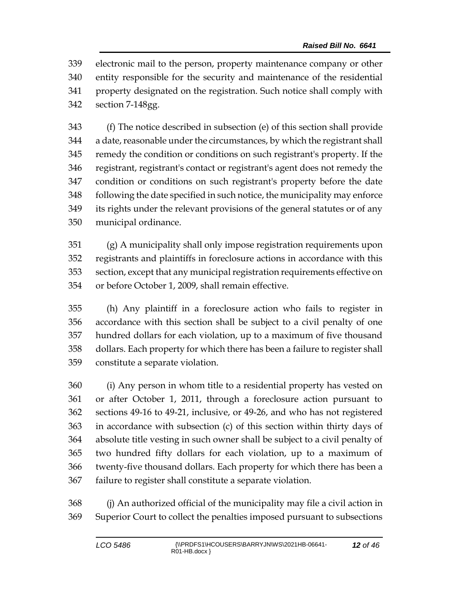electronic mail to the person, property maintenance company or other entity responsible for the security and maintenance of the residential property designated on the registration. Such notice shall comply with section 7-148gg.

 (f) The notice described in subsection (e) of this section shall provide a date, reasonable under the circumstances, by which the registrant shall remedy the condition or conditions on such registrant's property. If the registrant, registrant's contact or registrant's agent does not remedy the condition or conditions on such registrant's property before the date following the date specified in such notice, the municipality may enforce its rights under the relevant provisions of the general statutes or of any municipal ordinance.

 (g) A municipality shall only impose registration requirements upon registrants and plaintiffs in foreclosure actions in accordance with this section, except that any municipal registration requirements effective on or before October 1, 2009, shall remain effective.

 (h) Any plaintiff in a foreclosure action who fails to register in accordance with this section shall be subject to a civil penalty of one hundred dollars for each violation, up to a maximum of five thousand dollars. Each property for which there has been a failure to register shall constitute a separate violation.

 (i) Any person in whom title to a residential property has vested on or after October 1, 2011, through a foreclosure action pursuant to sections 49-16 to 49-21, inclusive, or 49-26, and who has not registered in accordance with subsection (c) of this section within thirty days of absolute title vesting in such owner shall be subject to a civil penalty of two hundred fifty dollars for each violation, up to a maximum of twenty-five thousand dollars. Each property for which there has been a failure to register shall constitute a separate violation.

 (j) An authorized official of the municipality may file a civil action in Superior Court to collect the penalties imposed pursuant to subsections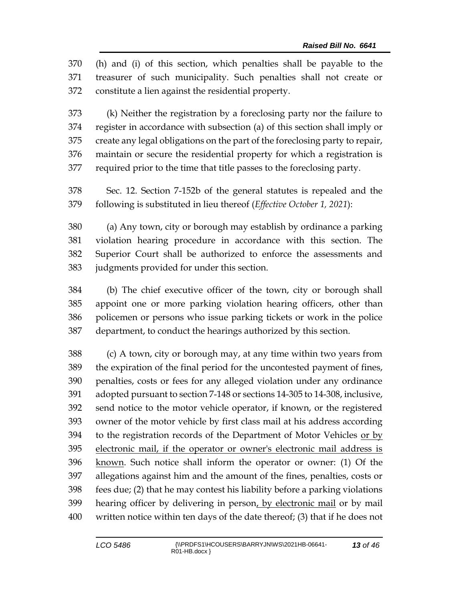(h) and (i) of this section, which penalties shall be payable to the treasurer of such municipality. Such penalties shall not create or constitute a lien against the residential property.

 (k) Neither the registration by a foreclosing party nor the failure to register in accordance with subsection (a) of this section shall imply or create any legal obligations on the part of the foreclosing party to repair, maintain or secure the residential property for which a registration is required prior to the time that title passes to the foreclosing party.

 Sec. 12. Section 7-152b of the general statutes is repealed and the following is substituted in lieu thereof (*Effective October 1, 2021*):

 (a) Any town, city or borough may establish by ordinance a parking violation hearing procedure in accordance with this section. The Superior Court shall be authorized to enforce the assessments and judgments provided for under this section.

 (b) The chief executive officer of the town, city or borough shall appoint one or more parking violation hearing officers, other than policemen or persons who issue parking tickets or work in the police department, to conduct the hearings authorized by this section.

 (c) A town, city or borough may, at any time within two years from the expiration of the final period for the uncontested payment of fines, penalties, costs or fees for any alleged violation under any ordinance adopted pursuant to section 7-148 or sections 14-305 to 14-308, inclusive, send notice to the motor vehicle operator, if known, or the registered owner of the motor vehicle by first class mail at his address according to the registration records of the Department of Motor Vehicles or by electronic mail, if the operator or owner's electronic mail address is known. Such notice shall inform the operator or owner: (1) Of the allegations against him and the amount of the fines, penalties, costs or fees due; (2) that he may contest his liability before a parking violations 399 hearing officer by delivering in person, by electronic mail or by mail written notice within ten days of the date thereof; (3) that if he does not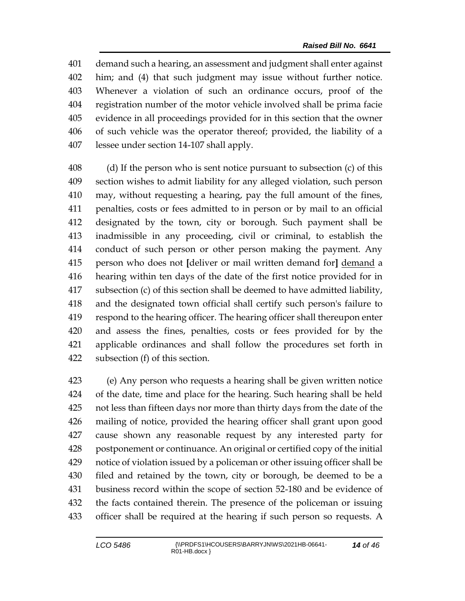demand such a hearing, an assessment and judgment shall enter against him; and (4) that such judgment may issue without further notice. Whenever a violation of such an ordinance occurs, proof of the registration number of the motor vehicle involved shall be prima facie evidence in all proceedings provided for in this section that the owner of such vehicle was the operator thereof; provided, the liability of a lessee under section 14-107 shall apply.

 (d) If the person who is sent notice pursuant to subsection (c) of this section wishes to admit liability for any alleged violation, such person may, without requesting a hearing, pay the full amount of the fines, penalties, costs or fees admitted to in person or by mail to an official designated by the town, city or borough. Such payment shall be inadmissible in any proceeding, civil or criminal, to establish the conduct of such person or other person making the payment. Any person who does not **[**deliver or mail written demand for**]** demand a hearing within ten days of the date of the first notice provided for in subsection (c) of this section shall be deemed to have admitted liability, and the designated town official shall certify such person's failure to respond to the hearing officer. The hearing officer shall thereupon enter and assess the fines, penalties, costs or fees provided for by the applicable ordinances and shall follow the procedures set forth in subsection (f) of this section.

 (e) Any person who requests a hearing shall be given written notice of the date, time and place for the hearing. Such hearing shall be held not less than fifteen days nor more than thirty days from the date of the mailing of notice, provided the hearing officer shall grant upon good cause shown any reasonable request by any interested party for postponement or continuance. An original or certified copy of the initial notice of violation issued by a policeman or other issuing officer shall be filed and retained by the town, city or borough, be deemed to be a business record within the scope of section 52-180 and be evidence of the facts contained therein. The presence of the policeman or issuing officer shall be required at the hearing if such person so requests. A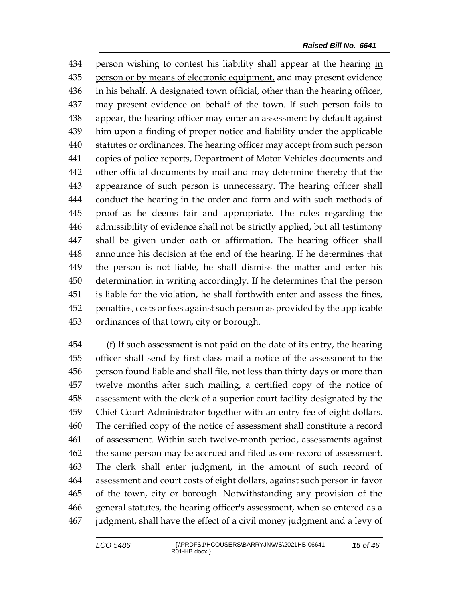person wishing to contest his liability shall appear at the hearing in person or by means of electronic equipment, and may present evidence in his behalf. A designated town official, other than the hearing officer, may present evidence on behalf of the town. If such person fails to appear, the hearing officer may enter an assessment by default against him upon a finding of proper notice and liability under the applicable statutes or ordinances. The hearing officer may accept from such person copies of police reports, Department of Motor Vehicles documents and other official documents by mail and may determine thereby that the appearance of such person is unnecessary. The hearing officer shall conduct the hearing in the order and form and with such methods of proof as he deems fair and appropriate. The rules regarding the admissibility of evidence shall not be strictly applied, but all testimony shall be given under oath or affirmation. The hearing officer shall announce his decision at the end of the hearing. If he determines that the person is not liable, he shall dismiss the matter and enter his determination in writing accordingly. If he determines that the person is liable for the violation, he shall forthwith enter and assess the fines, penalties, costs or fees against such person as provided by the applicable ordinances of that town, city or borough.

 (f) If such assessment is not paid on the date of its entry, the hearing officer shall send by first class mail a notice of the assessment to the person found liable and shall file, not less than thirty days or more than twelve months after such mailing, a certified copy of the notice of assessment with the clerk of a superior court facility designated by the Chief Court Administrator together with an entry fee of eight dollars. The certified copy of the notice of assessment shall constitute a record of assessment. Within such twelve-month period, assessments against the same person may be accrued and filed as one record of assessment. The clerk shall enter judgment, in the amount of such record of assessment and court costs of eight dollars, against such person in favor of the town, city or borough. Notwithstanding any provision of the general statutes, the hearing officer's assessment, when so entered as a judgment, shall have the effect of a civil money judgment and a levy of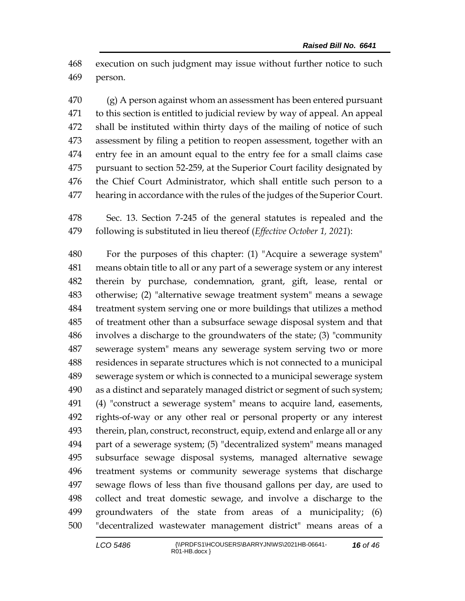execution on such judgment may issue without further notice to such person.

 (g) A person against whom an assessment has been entered pursuant to this section is entitled to judicial review by way of appeal. An appeal shall be instituted within thirty days of the mailing of notice of such assessment by filing a petition to reopen assessment, together with an entry fee in an amount equal to the entry fee for a small claims case pursuant to section 52-259, at the Superior Court facility designated by the Chief Court Administrator, which shall entitle such person to a hearing in accordance with the rules of the judges of the Superior Court.

 Sec. 13. Section 7-245 of the general statutes is repealed and the following is substituted in lieu thereof (*Effective October 1, 2021*):

 For the purposes of this chapter: (1) "Acquire a sewerage system" means obtain title to all or any part of a sewerage system or any interest therein by purchase, condemnation, grant, gift, lease, rental or otherwise; (2) "alternative sewage treatment system" means a sewage treatment system serving one or more buildings that utilizes a method of treatment other than a subsurface sewage disposal system and that involves a discharge to the groundwaters of the state; (3) "community sewerage system" means any sewerage system serving two or more residences in separate structures which is not connected to a municipal sewerage system or which is connected to a municipal sewerage system as a distinct and separately managed district or segment of such system; (4) "construct a sewerage system" means to acquire land, easements, rights-of-way or any other real or personal property or any interest therein, plan, construct, reconstruct, equip, extend and enlarge all or any part of a sewerage system; (5) "decentralized system" means managed subsurface sewage disposal systems, managed alternative sewage treatment systems or community sewerage systems that discharge sewage flows of less than five thousand gallons per day, are used to collect and treat domestic sewage, and involve a discharge to the groundwaters of the state from areas of a municipality; (6) "decentralized wastewater management district" means areas of a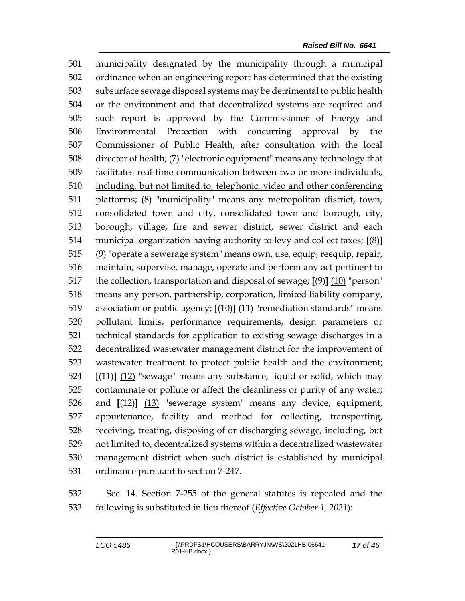municipality designated by the municipality through a municipal ordinance when an engineering report has determined that the existing subsurface sewage disposal systems may be detrimental to public health or the environment and that decentralized systems are required and such report is approved by the Commissioner of Energy and Environmental Protection with concurring approval by the Commissioner of Public Health, after consultation with the local director of health; (7) "electronic equipment" means any technology that facilitates real-time communication between two or more individuals, including, but not limited to, telephonic, video and other conferencing platforms; (8) "municipality" means any metropolitan district, town, consolidated town and city, consolidated town and borough, city, borough, village, fire and sewer district, sewer district and each municipal organization having authority to levy and collect taxes; **[**(8)**]** (9) "operate a sewerage system" means own, use, equip, reequip, repair, maintain, supervise, manage, operate and perform any act pertinent to the collection, transportation and disposal of sewage; **[**(9)**]** (10) "person" means any person, partnership, corporation, limited liability company, association or public agency; **[**(10)**]** (11) "remediation standards" means pollutant limits, performance requirements, design parameters or technical standards for application to existing sewage discharges in a decentralized wastewater management district for the improvement of wastewater treatment to protect public health and the environment; **[**(11)**]** (12) "sewage" means any substance, liquid or solid, which may contaminate or pollute or affect the cleanliness or purity of any water; and **[**(12)**]** (13) "sewerage system" means any device, equipment, appurtenance, facility and method for collecting, transporting, receiving, treating, disposing of or discharging sewage, including, but not limited to, decentralized systems within a decentralized wastewater management district when such district is established by municipal ordinance pursuant to section 7-247.

 Sec. 14. Section 7-255 of the general statutes is repealed and the following is substituted in lieu thereof (*Effective October 1, 2021*):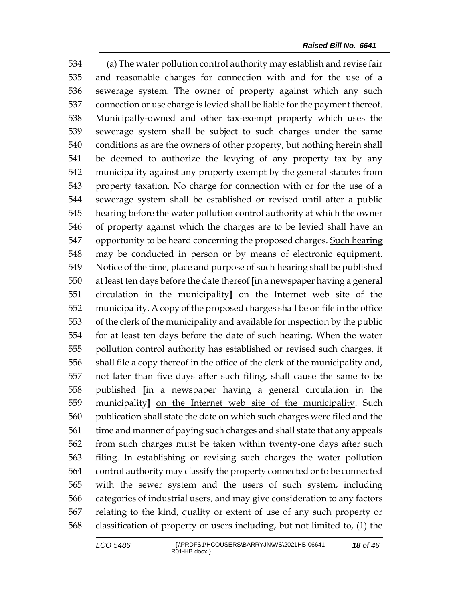(a) The water pollution control authority may establish and revise fair and reasonable charges for connection with and for the use of a sewerage system. The owner of property against which any such connection or use charge is levied shall be liable for the payment thereof. Municipally-owned and other tax-exempt property which uses the sewerage system shall be subject to such charges under the same conditions as are the owners of other property, but nothing herein shall be deemed to authorize the levying of any property tax by any municipality against any property exempt by the general statutes from property taxation. No charge for connection with or for the use of a sewerage system shall be established or revised until after a public hearing before the water pollution control authority at which the owner of property against which the charges are to be levied shall have an 547 opportunity to be heard concerning the proposed charges. Such hearing may be conducted in person or by means of electronic equipment. Notice of the time, place and purpose of such hearing shall be published at least ten days before the date thereof **[**in a newspaper having a general circulation in the municipality**]** on the Internet web site of the municipality. A copy of the proposed charges shall be on file in the office of the clerk of the municipality and available for inspection by the public for at least ten days before the date of such hearing. When the water pollution control authority has established or revised such charges, it shall file a copy thereof in the office of the clerk of the municipality and, not later than five days after such filing, shall cause the same to be published **[**in a newspaper having a general circulation in the municipality**]** on the Internet web site of the municipality. Such publication shall state the date on which such charges were filed and the time and manner of paying such charges and shall state that any appeals from such charges must be taken within twenty-one days after such filing. In establishing or revising such charges the water pollution control authority may classify the property connected or to be connected with the sewer system and the users of such system, including categories of industrial users, and may give consideration to any factors relating to the kind, quality or extent of use of any such property or classification of property or users including, but not limited to, (1) the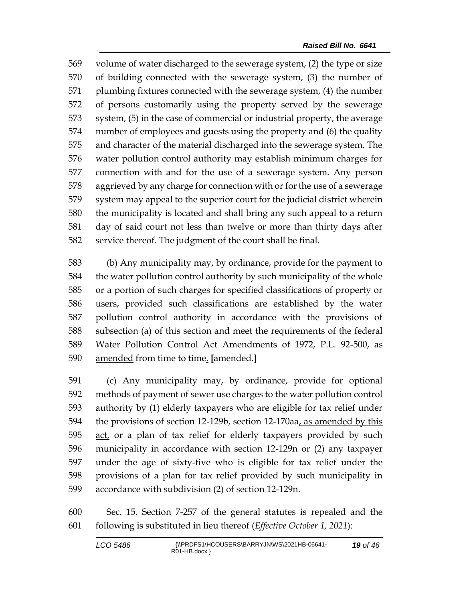volume of water discharged to the sewerage system, (2) the type or size of building connected with the sewerage system, (3) the number of plumbing fixtures connected with the sewerage system, (4) the number of persons customarily using the property served by the sewerage system, (5) in the case of commercial or industrial property, the average number of employees and guests using the property and (6) the quality and character of the material discharged into the sewerage system. The water pollution control authority may establish minimum charges for connection with and for the use of a sewerage system. Any person aggrieved by any charge for connection with or for the use of a sewerage system may appeal to the superior court for the judicial district wherein the municipality is located and shall bring any such appeal to a return day of said court not less than twelve or more than thirty days after service thereof. The judgment of the court shall be final.

 (b) Any municipality may, by ordinance, provide for the payment to the water pollution control authority by such municipality of the whole or a portion of such charges for specified classifications of property or users, provided such classifications are established by the water pollution control authority in accordance with the provisions of subsection (a) of this section and meet the requirements of the federal Water Pollution Control Act Amendments of 1972, P.L. 92-500, as amended from time to time. **[**amended.**]**

 (c) Any municipality may, by ordinance, provide for optional methods of payment of sewer use charges to the water pollution control authority by (1) elderly taxpayers who are eligible for tax relief under the provisions of section 12-129b, section 12-170aa, as amended by this act, or a plan of tax relief for elderly taxpayers provided by such municipality in accordance with section 12-129n or (2) any taxpayer under the age of sixty-five who is eligible for tax relief under the provisions of a plan for tax relief provided by such municipality in accordance with subdivision (2) of section 12-129n.

 Sec. 15. Section 7-257 of the general statutes is repealed and the following is substituted in lieu thereof (*Effective October 1, 2021*):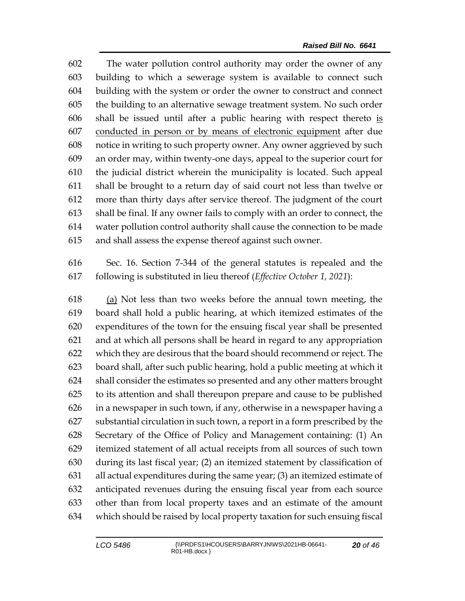The water pollution control authority may order the owner of any building to which a sewerage system is available to connect such building with the system or order the owner to construct and connect the building to an alternative sewage treatment system. No such order shall be issued until after a public hearing with respect thereto is conducted in person or by means of electronic equipment after due notice in writing to such property owner. Any owner aggrieved by such an order may, within twenty-one days, appeal to the superior court for the judicial district wherein the municipality is located. Such appeal shall be brought to a return day of said court not less than twelve or more than thirty days after service thereof. The judgment of the court shall be final. If any owner fails to comply with an order to connect, the water pollution control authority shall cause the connection to be made and shall assess the expense thereof against such owner.

 Sec. 16. Section 7-344 of the general statutes is repealed and the following is substituted in lieu thereof (*Effective October 1, 2021*):

 (a) Not less than two weeks before the annual town meeting, the board shall hold a public hearing, at which itemized estimates of the expenditures of the town for the ensuing fiscal year shall be presented and at which all persons shall be heard in regard to any appropriation which they are desirous that the board should recommend or reject. The board shall, after such public hearing, hold a public meeting at which it shall consider the estimates so presented and any other matters brought to its attention and shall thereupon prepare and cause to be published in a newspaper in such town, if any, otherwise in a newspaper having a substantial circulation in such town, a report in a form prescribed by the Secretary of the Office of Policy and Management containing: (1) An itemized statement of all actual receipts from all sources of such town during its last fiscal year; (2) an itemized statement by classification of all actual expenditures during the same year; (3) an itemized estimate of anticipated revenues during the ensuing fiscal year from each source other than from local property taxes and an estimate of the amount which should be raised by local property taxation for such ensuing fiscal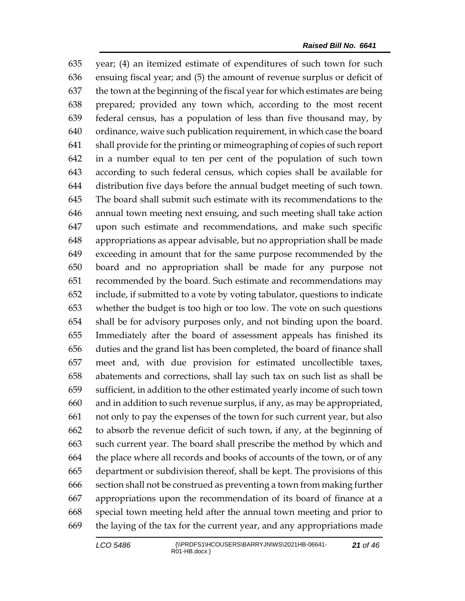year; (4) an itemized estimate of expenditures of such town for such ensuing fiscal year; and (5) the amount of revenue surplus or deficit of the town at the beginning of the fiscal year for which estimates are being prepared; provided any town which, according to the most recent federal census, has a population of less than five thousand may, by ordinance, waive such publication requirement, in which case the board shall provide for the printing or mimeographing of copies of such report in a number equal to ten per cent of the population of such town according to such federal census, which copies shall be available for distribution five days before the annual budget meeting of such town. The board shall submit such estimate with its recommendations to the annual town meeting next ensuing, and such meeting shall take action upon such estimate and recommendations, and make such specific appropriations as appear advisable, but no appropriation shall be made exceeding in amount that for the same purpose recommended by the board and no appropriation shall be made for any purpose not recommended by the board. Such estimate and recommendations may include, if submitted to a vote by voting tabulator, questions to indicate whether the budget is too high or too low. The vote on such questions shall be for advisory purposes only, and not binding upon the board. Immediately after the board of assessment appeals has finished its duties and the grand list has been completed, the board of finance shall meet and, with due provision for estimated uncollectible taxes, abatements and corrections, shall lay such tax on such list as shall be sufficient, in addition to the other estimated yearly income of such town and in addition to such revenue surplus, if any, as may be appropriated, not only to pay the expenses of the town for such current year, but also to absorb the revenue deficit of such town, if any, at the beginning of such current year. The board shall prescribe the method by which and the place where all records and books of accounts of the town, or of any department or subdivision thereof, shall be kept. The provisions of this section shall not be construed as preventing a town from making further appropriations upon the recommendation of its board of finance at a special town meeting held after the annual town meeting and prior to the laying of the tax for the current year, and any appropriations made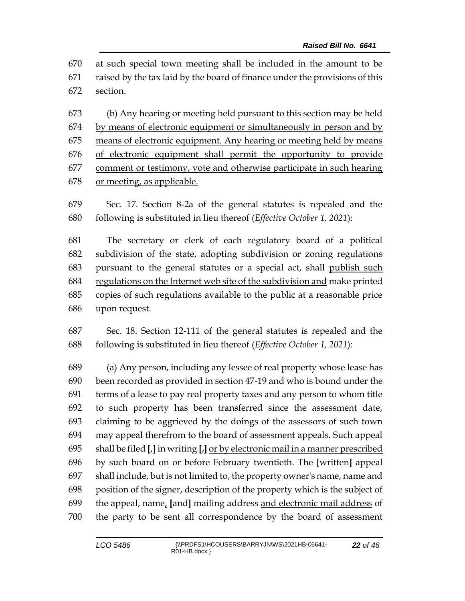at such special town meeting shall be included in the amount to be raised by the tax laid by the board of finance under the provisions of this section.

 (b) Any hearing or meeting held pursuant to this section may be held 674 by means of electronic equipment or simultaneously in person and by means of electronic equipment. Any hearing or meeting held by means of electronic equipment shall permit the opportunity to provide comment or testimony, vote and otherwise participate in such hearing or meeting, as applicable.

 Sec. 17. Section 8-2a of the general statutes is repealed and the following is substituted in lieu thereof (*Effective October 1, 2021*):

 The secretary or clerk of each regulatory board of a political subdivision of the state, adopting subdivision or zoning regulations pursuant to the general statutes or a special act, shall publish such regulations on the Internet web site of the subdivision and make printed copies of such regulations available to the public at a reasonable price upon request.

 Sec. 18. Section 12-111 of the general statutes is repealed and the following is substituted in lieu thereof (*Effective October 1, 2021*):

 (a) Any person, including any lessee of real property whose lease has been recorded as provided in section 47-19 and who is bound under the terms of a lease to pay real property taxes and any person to whom title to such property has been transferred since the assessment date, claiming to be aggrieved by the doings of the assessors of such town may appeal therefrom to the board of assessment appeals. Such appeal shall be filed **[**,**]** in writing **[**,**]** or by electronic mail in a manner prescribed by such board on or before February twentieth. The **[**written**]** appeal shall include, but is not limited to, the property owner's name, name and position of the signer, description of the property which is the subject of the appeal, name, **[**and**]** mailing address and electronic mail address of the party to be sent all correspondence by the board of assessment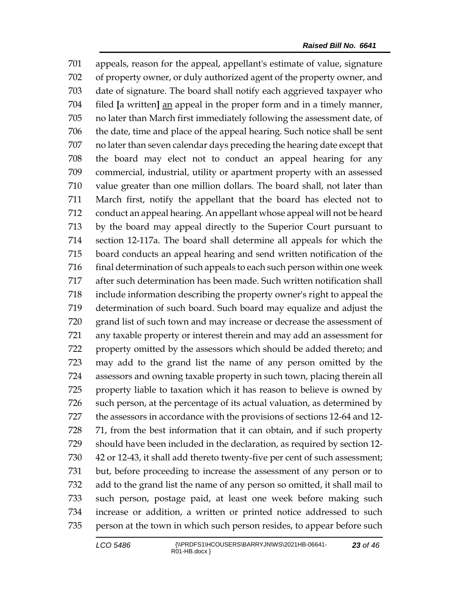appeals, reason for the appeal, appellant's estimate of value, signature of property owner, or duly authorized agent of the property owner, and date of signature. The board shall notify each aggrieved taxpayer who filed **[**a written**]** an appeal in the proper form and in a timely manner, no later than March first immediately following the assessment date, of the date, time and place of the appeal hearing. Such notice shall be sent no later than seven calendar days preceding the hearing date except that the board may elect not to conduct an appeal hearing for any commercial, industrial, utility or apartment property with an assessed value greater than one million dollars. The board shall, not later than March first, notify the appellant that the board has elected not to conduct an appeal hearing. An appellant whose appeal will not be heard by the board may appeal directly to the Superior Court pursuant to section 12-117a. The board shall determine all appeals for which the board conducts an appeal hearing and send written notification of the final determination of such appeals to each such person within one week after such determination has been made. Such written notification shall include information describing the property owner's right to appeal the determination of such board. Such board may equalize and adjust the grand list of such town and may increase or decrease the assessment of any taxable property or interest therein and may add an assessment for property omitted by the assessors which should be added thereto; and may add to the grand list the name of any person omitted by the assessors and owning taxable property in such town, placing therein all property liable to taxation which it has reason to believe is owned by such person, at the percentage of its actual valuation, as determined by the assessors in accordance with the provisions of sections 12-64 and 12- 71, from the best information that it can obtain, and if such property should have been included in the declaration, as required by section 12- 42 or 12-43, it shall add thereto twenty-five per cent of such assessment; but, before proceeding to increase the assessment of any person or to add to the grand list the name of any person so omitted, it shall mail to such person, postage paid, at least one week before making such increase or addition, a written or printed notice addressed to such person at the town in which such person resides, to appear before such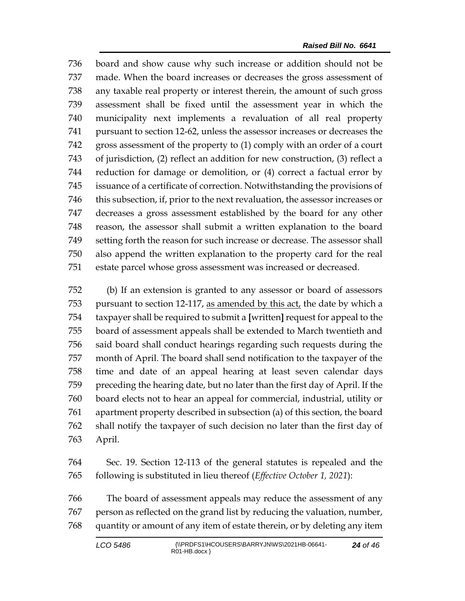board and show cause why such increase or addition should not be made. When the board increases or decreases the gross assessment of any taxable real property or interest therein, the amount of such gross assessment shall be fixed until the assessment year in which the municipality next implements a revaluation of all real property pursuant to section 12-62, unless the assessor increases or decreases the gross assessment of the property to (1) comply with an order of a court of jurisdiction, (2) reflect an addition for new construction, (3) reflect a reduction for damage or demolition, or (4) correct a factual error by issuance of a certificate of correction. Notwithstanding the provisions of this subsection, if, prior to the next revaluation, the assessor increases or decreases a gross assessment established by the board for any other reason, the assessor shall submit a written explanation to the board setting forth the reason for such increase or decrease. The assessor shall also append the written explanation to the property card for the real estate parcel whose gross assessment was increased or decreased.

 (b) If an extension is granted to any assessor or board of assessors pursuant to section 12-117, as amended by this act, the date by which a taxpayer shall be required to submit a **[**written**]** request for appeal to the board of assessment appeals shall be extended to March twentieth and said board shall conduct hearings regarding such requests during the month of April. The board shall send notification to the taxpayer of the time and date of an appeal hearing at least seven calendar days preceding the hearing date, but no later than the first day of April. If the board elects not to hear an appeal for commercial, industrial, utility or apartment property described in subsection (a) of this section, the board shall notify the taxpayer of such decision no later than the first day of April.

 Sec. 19. Section 12-113 of the general statutes is repealed and the following is substituted in lieu thereof (*Effective October 1, 2021*):

 The board of assessment appeals may reduce the assessment of any person as reflected on the grand list by reducing the valuation, number, quantity or amount of any item of estate therein, or by deleting any item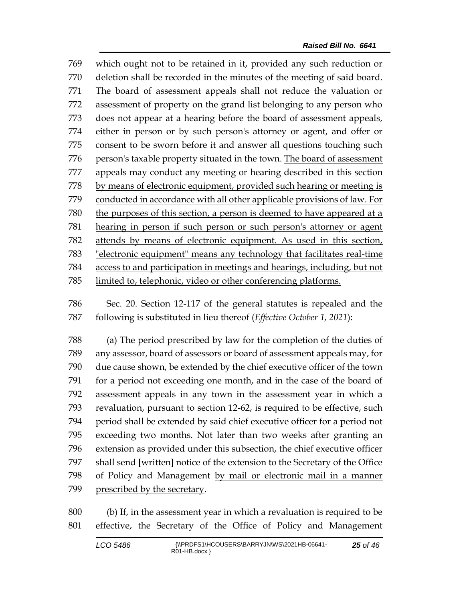which ought not to be retained in it, provided any such reduction or deletion shall be recorded in the minutes of the meeting of said board. The board of assessment appeals shall not reduce the valuation or assessment of property on the grand list belonging to any person who does not appear at a hearing before the board of assessment appeals, either in person or by such person's attorney or agent, and offer or consent to be sworn before it and answer all questions touching such person's taxable property situated in the town. The board of assessment appeals may conduct any meeting or hearing described in this section by means of electronic equipment, provided such hearing or meeting is 779 conducted in accordance with all other applicable provisions of law. For the purposes of this section, a person is deemed to have appeared at a hearing in person if such person or such person's attorney or agent attends by means of electronic equipment. As used in this section, "electronic equipment" means any technology that facilitates real-time access to and participation in meetings and hearings, including, but not limited to, telephonic, video or other conferencing platforms.

 Sec. 20. Section 12-117 of the general statutes is repealed and the following is substituted in lieu thereof (*Effective October 1, 2021*):

 (a) The period prescribed by law for the completion of the duties of any assessor, board of assessors or board of assessment appeals may, for due cause shown, be extended by the chief executive officer of the town for a period not exceeding one month, and in the case of the board of assessment appeals in any town in the assessment year in which a revaluation, pursuant to section 12-62, is required to be effective, such period shall be extended by said chief executive officer for a period not exceeding two months. Not later than two weeks after granting an extension as provided under this subsection, the chief executive officer shall send **[**written**]** notice of the extension to the Secretary of the Office of Policy and Management by mail or electronic mail in a manner prescribed by the secretary.

 (b) If, in the assessment year in which a revaluation is required to be effective, the Secretary of the Office of Policy and Management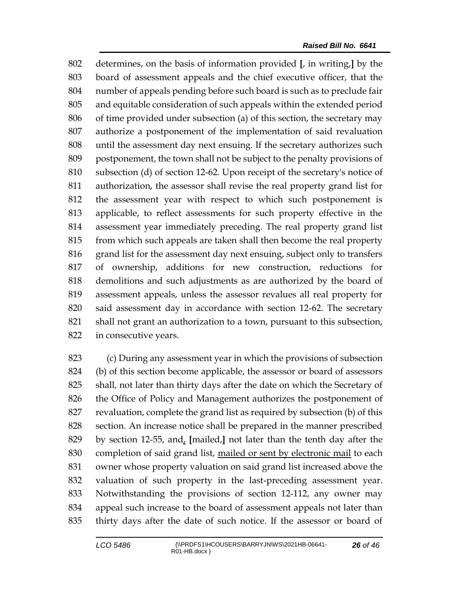determines, on the basis of information provided **[**, in writing,**]** by the board of assessment appeals and the chief executive officer, that the number of appeals pending before such board is such as to preclude fair and equitable consideration of such appeals within the extended period of time provided under subsection (a) of this section, the secretary may authorize a postponement of the implementation of said revaluation until the assessment day next ensuing. If the secretary authorizes such postponement, the town shall not be subject to the penalty provisions of subsection (d) of section 12-62. Upon receipt of the secretary's notice of authorization, the assessor shall revise the real property grand list for the assessment year with respect to which such postponement is applicable, to reflect assessments for such property effective in the assessment year immediately preceding. The real property grand list from which such appeals are taken shall then become the real property grand list for the assessment day next ensuing, subject only to transfers of ownership, additions for new construction, reductions for demolitions and such adjustments as are authorized by the board of assessment appeals, unless the assessor revalues all real property for said assessment day in accordance with section 12-62. The secretary shall not grant an authorization to a town, pursuant to this subsection, in consecutive years.

 (c) During any assessment year in which the provisions of subsection (b) of this section become applicable, the assessor or board of assessors shall, not later than thirty days after the date on which the Secretary of the Office of Policy and Management authorizes the postponement of revaluation, complete the grand list as required by subsection (b) of this section. An increase notice shall be prepared in the manner prescribed by section 12-55, and, **[**mailed,**]** not later than the tenth day after the 830 completion of said grand list, mailed or sent by electronic mail to each owner whose property valuation on said grand list increased above the valuation of such property in the last-preceding assessment year. Notwithstanding the provisions of section 12-112, any owner may appeal such increase to the board of assessment appeals not later than thirty days after the date of such notice. If the assessor or board of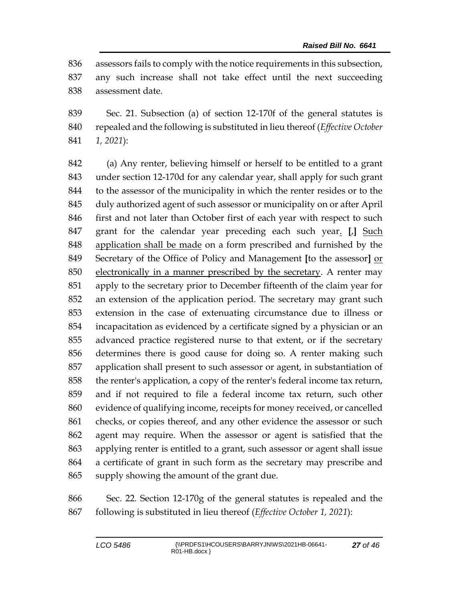assessors fails to comply with the notice requirements in this subsection,

- any such increase shall not take effect until the next succeeding assessment date.
- Sec. 21. Subsection (a) of section 12-170f of the general statutes is repealed and the following is substituted in lieu thereof (*Effective October 1, 2021*):

 (a) Any renter, believing himself or herself to be entitled to a grant under section 12-170d for any calendar year, shall apply for such grant to the assessor of the municipality in which the renter resides or to the duly authorized agent of such assessor or municipality on or after April 846 first and not later than October first of each year with respect to such grant for the calendar year preceding each such year. **[**,**]** Such application shall be made on a form prescribed and furnished by the Secretary of the Office of Policy and Management **[**to the assessor**]** or electronically in a manner prescribed by the secretary. A renter may apply to the secretary prior to December fifteenth of the claim year for an extension of the application period. The secretary may grant such extension in the case of extenuating circumstance due to illness or incapacitation as evidenced by a certificate signed by a physician or an advanced practice registered nurse to that extent, or if the secretary determines there is good cause for doing so. A renter making such application shall present to such assessor or agent, in substantiation of the renter's application, a copy of the renter's federal income tax return, and if not required to file a federal income tax return, such other evidence of qualifying income, receipts for money received, or cancelled checks, or copies thereof, and any other evidence the assessor or such agent may require. When the assessor or agent is satisfied that the applying renter is entitled to a grant, such assessor or agent shall issue a certificate of grant in such form as the secretary may prescribe and supply showing the amount of the grant due.

 Sec. 22. Section 12-170g of the general statutes is repealed and the following is substituted in lieu thereof (*Effective October 1, 2021*):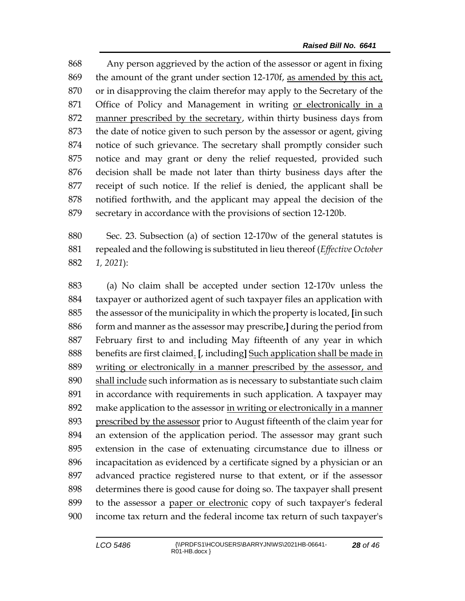Any person aggrieved by the action of the assessor or agent in fixing the amount of the grant under section 12-170f, as amended by this act, or in disapproving the claim therefor may apply to the Secretary of the Office of Policy and Management in writing or electronically in a manner prescribed by the secretary, within thirty business days from the date of notice given to such person by the assessor or agent, giving notice of such grievance. The secretary shall promptly consider such notice and may grant or deny the relief requested, provided such decision shall be made not later than thirty business days after the receipt of such notice. If the relief is denied, the applicant shall be notified forthwith, and the applicant may appeal the decision of the secretary in accordance with the provisions of section 12-120b.

 Sec. 23. Subsection (a) of section 12-170w of the general statutes is repealed and the following is substituted in lieu thereof (*Effective October 1, 2021*):

 (a) No claim shall be accepted under section 12-170v unless the taxpayer or authorized agent of such taxpayer files an application with the assessor of the municipality in which the property is located, **[**in such form and manner as the assessor may prescribe,**]** during the period from February first to and including May fifteenth of any year in which benefits are first claimed. **[**, including**]** Such application shall be made in writing or electronically in a manner prescribed by the assessor, and shall include such information as is necessary to substantiate such claim in accordance with requirements in such application. A taxpayer may make application to the assessor in writing or electronically in a manner prescribed by the assessor prior to August fifteenth of the claim year for an extension of the application period. The assessor may grant such extension in the case of extenuating circumstance due to illness or incapacitation as evidenced by a certificate signed by a physician or an advanced practice registered nurse to that extent, or if the assessor determines there is good cause for doing so. The taxpayer shall present 899 to the assessor a paper or electronic copy of such taxpayer's federal income tax return and the federal income tax return of such taxpayer's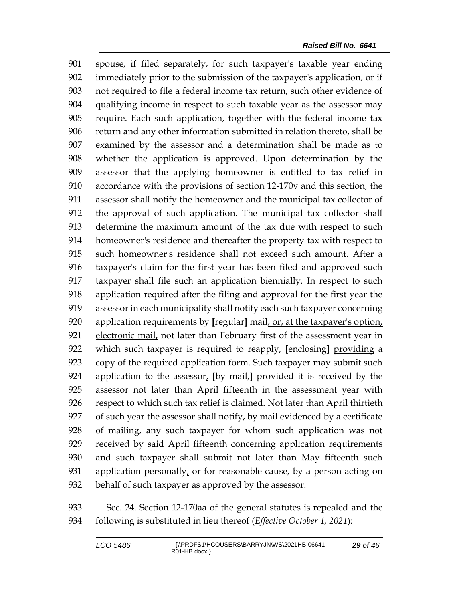spouse, if filed separately, for such taxpayer's taxable year ending immediately prior to the submission of the taxpayer's application, or if not required to file a federal income tax return, such other evidence of qualifying income in respect to such taxable year as the assessor may require. Each such application, together with the federal income tax return and any other information submitted in relation thereto, shall be examined by the assessor and a determination shall be made as to whether the application is approved. Upon determination by the assessor that the applying homeowner is entitled to tax relief in accordance with the provisions of section 12-170v and this section, the assessor shall notify the homeowner and the municipal tax collector of the approval of such application. The municipal tax collector shall determine the maximum amount of the tax due with respect to such homeowner's residence and thereafter the property tax with respect to such homeowner's residence shall not exceed such amount. After a taxpayer's claim for the first year has been filed and approved such taxpayer shall file such an application biennially. In respect to such application required after the filing and approval for the first year the assessor in each municipality shall notify each such taxpayer concerning application requirements by **[**regular**]** mail, or, at the taxpayer's option, electronic mail, not later than February first of the assessment year in which such taxpayer is required to reapply, **[**enclosing**]** providing a copy of the required application form. Such taxpayer may submit such application to the assessor, **[**by mail,**]** provided it is received by the assessor not later than April fifteenth in the assessment year with respect to which such tax relief is claimed. Not later than April thirtieth of such year the assessor shall notify, by mail evidenced by a certificate of mailing, any such taxpayer for whom such application was not received by said April fifteenth concerning application requirements and such taxpayer shall submit not later than May fifteenth such 931 application personally, or for reasonable cause, by a person acting on behalf of such taxpayer as approved by the assessor.

 Sec. 24. Section 12-170aa of the general statutes is repealed and the following is substituted in lieu thereof (*Effective October 1, 2021*):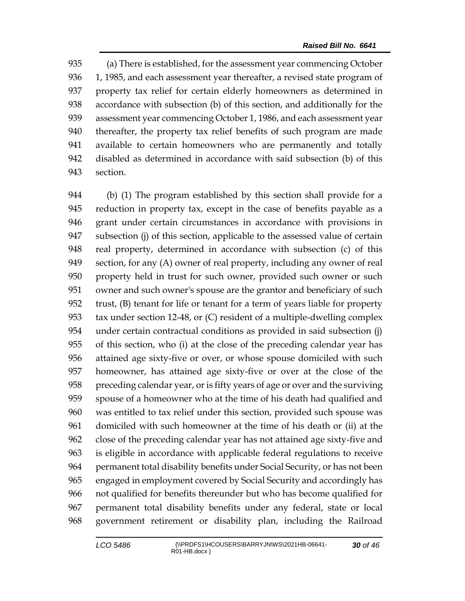(a) There is established, for the assessment year commencing October 936 1, 1985, and each assessment year thereafter, a revised state program of property tax relief for certain elderly homeowners as determined in accordance with subsection (b) of this section, and additionally for the assessment year commencing October 1, 1986, and each assessment year thereafter, the property tax relief benefits of such program are made available to certain homeowners who are permanently and totally disabled as determined in accordance with said subsection (b) of this section.

 (b) (1) The program established by this section shall provide for a reduction in property tax, except in the case of benefits payable as a grant under certain circumstances in accordance with provisions in subsection (j) of this section, applicable to the assessed value of certain real property, determined in accordance with subsection (c) of this section, for any (A) owner of real property, including any owner of real property held in trust for such owner, provided such owner or such owner and such owner's spouse are the grantor and beneficiary of such trust, (B) tenant for life or tenant for a term of years liable for property tax under section 12-48, or (C) resident of a multiple-dwelling complex under certain contractual conditions as provided in said subsection (j) of this section, who (i) at the close of the preceding calendar year has attained age sixty-five or over, or whose spouse domiciled with such homeowner, has attained age sixty-five or over at the close of the preceding calendar year, or is fifty years of age or over and the surviving spouse of a homeowner who at the time of his death had qualified and was entitled to tax relief under this section, provided such spouse was domiciled with such homeowner at the time of his death or (ii) at the close of the preceding calendar year has not attained age sixty-five and is eligible in accordance with applicable federal regulations to receive permanent total disability benefits under Social Security, or has not been engaged in employment covered by Social Security and accordingly has not qualified for benefits thereunder but who has become qualified for permanent total disability benefits under any federal, state or local government retirement or disability plan, including the Railroad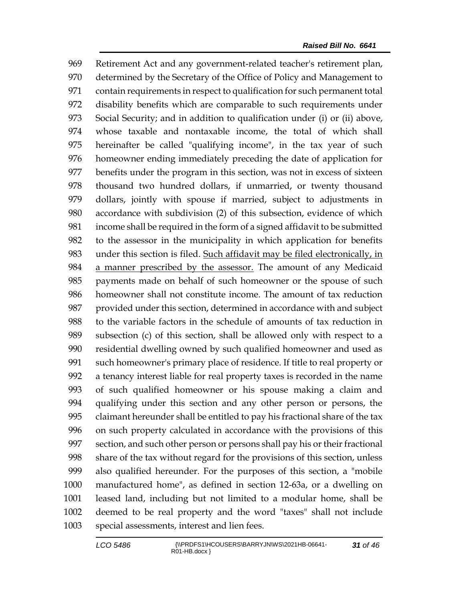Retirement Act and any government-related teacher's retirement plan, determined by the Secretary of the Office of Policy and Management to contain requirements in respect to qualification for such permanent total disability benefits which are comparable to such requirements under Social Security; and in addition to qualification under (i) or (ii) above, whose taxable and nontaxable income, the total of which shall hereinafter be called "qualifying income", in the tax year of such homeowner ending immediately preceding the date of application for benefits under the program in this section, was not in excess of sixteen thousand two hundred dollars, if unmarried, or twenty thousand dollars, jointly with spouse if married, subject to adjustments in accordance with subdivision (2) of this subsection, evidence of which income shall be required in the form of a signed affidavit to be submitted to the assessor in the municipality in which application for benefits 983 under this section is filed. Such affidavit may be filed electronically, in a manner prescribed by the assessor. The amount of any Medicaid payments made on behalf of such homeowner or the spouse of such homeowner shall not constitute income. The amount of tax reduction provided under this section, determined in accordance with and subject to the variable factors in the schedule of amounts of tax reduction in subsection (c) of this section, shall be allowed only with respect to a residential dwelling owned by such qualified homeowner and used as such homeowner's primary place of residence. If title to real property or a tenancy interest liable for real property taxes is recorded in the name of such qualified homeowner or his spouse making a claim and qualifying under this section and any other person or persons, the claimant hereunder shall be entitled to pay his fractional share of the tax on such property calculated in accordance with the provisions of this section, and such other person or persons shall pay his or their fractional share of the tax without regard for the provisions of this section, unless also qualified hereunder. For the purposes of this section, a "mobile manufactured home", as defined in section 12-63a, or a dwelling on leased land, including but not limited to a modular home, shall be deemed to be real property and the word "taxes" shall not include special assessments, interest and lien fees.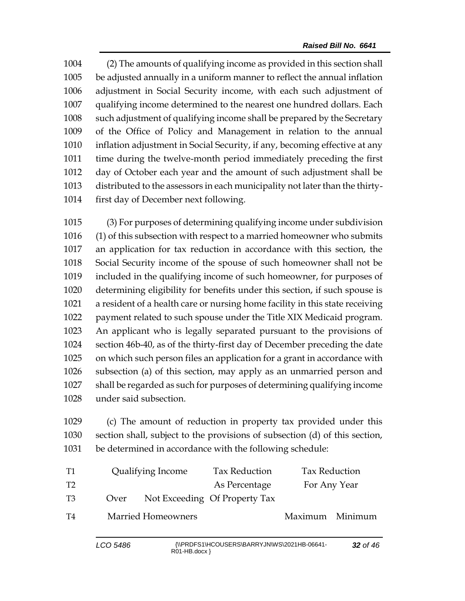(2) The amounts of qualifying income as provided in this section shall be adjusted annually in a uniform manner to reflect the annual inflation adjustment in Social Security income, with each such adjustment of qualifying income determined to the nearest one hundred dollars. Each such adjustment of qualifying income shall be prepared by the Secretary of the Office of Policy and Management in relation to the annual inflation adjustment in Social Security, if any, becoming effective at any time during the twelve-month period immediately preceding the first day of October each year and the amount of such adjustment shall be distributed to the assessors in each municipality not later than the thirty-first day of December next following.

 (3) For purposes of determining qualifying income under subdivision (1) of this subsection with respect to a married homeowner who submits an application for tax reduction in accordance with this section, the Social Security income of the spouse of such homeowner shall not be included in the qualifying income of such homeowner, for purposes of determining eligibility for benefits under this section, if such spouse is a resident of a health care or nursing home facility in this state receiving payment related to such spouse under the Title XIX Medicaid program. An applicant who is legally separated pursuant to the provisions of section 46b-40, as of the thirty-first day of December preceding the date on which such person files an application for a grant in accordance with subsection (a) of this section, may apply as an unmarried person and shall be regarded as such for purposes of determining qualifying income under said subsection.

 (c) The amount of reduction in property tax provided under this section shall, subject to the provisions of subsection (d) of this section, be determined in accordance with the following schedule:

| <b>T1</b> | Qualifying Income         |  | <b>Tax Reduction</b>          | <b>Tax Reduction</b> |  |
|-----------|---------------------------|--|-------------------------------|----------------------|--|
| T2        |                           |  | As Percentage                 | For Any Year         |  |
| T3        | Over                      |  | Not Exceeding Of Property Tax |                      |  |
| T4        | <b>Married Homeowners</b> |  |                               | Maximum Minimum      |  |
|           |                           |  |                               |                      |  |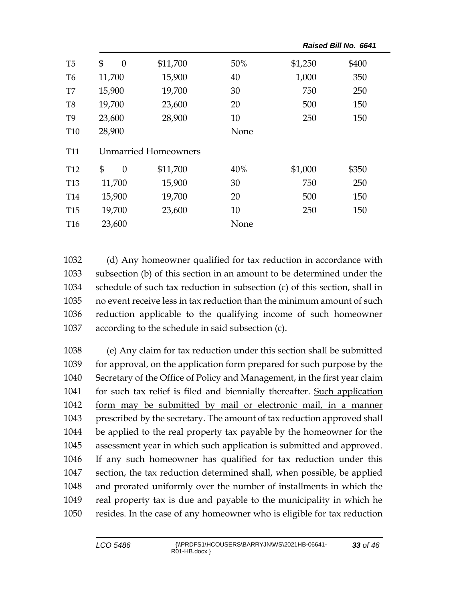|                 |                |                             |      |         | Raised Bill No. 6641 |
|-----------------|----------------|-----------------------------|------|---------|----------------------|
| T <sub>5</sub>  | \$<br>$\theta$ | \$11,700                    | 50%  | \$1,250 | \$400                |
| T <sub>6</sub>  | 11,700         | 15,900                      | 40   | 1,000   | 350                  |
| T7              | 15,900         | 19,700                      | 30   | 750     | 250                  |
| T <sub>8</sub>  | 19,700         | 23,600                      | 20   | 500     | 150                  |
| T <sub>9</sub>  | 23,600         | 28,900                      | 10   | 250     | 150                  |
| T <sub>10</sub> | 28,900         |                             | None |         |                      |
| <b>T11</b>      |                | <b>Unmarried Homeowners</b> |      |         |                      |
| T <sub>12</sub> | \$<br>$\theta$ | \$11,700                    | 40%  | \$1,000 | \$350                |
| <b>T13</b>      | 11,700         | 15,900                      | 30   | 750     | 250                  |
| T <sub>14</sub> | 15,900         | 19,700                      | 20   | 500     | 150                  |
| T <sub>15</sub> | 19,700         | 23,600                      | 10   | 250     | 150                  |
| T <sub>16</sub> | 23,600         |                             | None |         |                      |
|                 |                |                             |      |         |                      |

 (d) Any homeowner qualified for tax reduction in accordance with subsection (b) of this section in an amount to be determined under the schedule of such tax reduction in subsection (c) of this section, shall in no event receive less in tax reduction than the minimum amount of such reduction applicable to the qualifying income of such homeowner according to the schedule in said subsection (c).

 (e) Any claim for tax reduction under this section shall be submitted for approval, on the application form prepared for such purpose by the Secretary of the Office of Policy and Management, in the first year claim for such tax relief is filed and biennially thereafter. Such application form may be submitted by mail or electronic mail, in a manner 1043 prescribed by the secretary. The amount of tax reduction approved shall be applied to the real property tax payable by the homeowner for the assessment year in which such application is submitted and approved. If any such homeowner has qualified for tax reduction under this section, the tax reduction determined shall, when possible, be applied and prorated uniformly over the number of installments in which the real property tax is due and payable to the municipality in which he resides. In the case of any homeowner who is eligible for tax reduction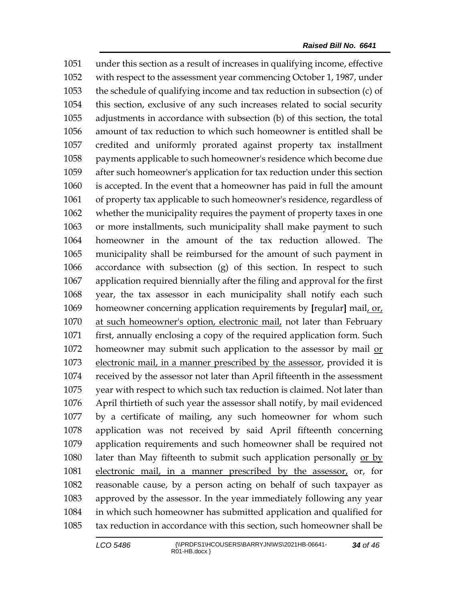under this section as a result of increases in qualifying income, effective with respect to the assessment year commencing October 1, 1987, under the schedule of qualifying income and tax reduction in subsection (c) of this section, exclusive of any such increases related to social security adjustments in accordance with subsection (b) of this section, the total amount of tax reduction to which such homeowner is entitled shall be credited and uniformly prorated against property tax installment payments applicable to such homeowner's residence which become due after such homeowner's application for tax reduction under this section is accepted. In the event that a homeowner has paid in full the amount of property tax applicable to such homeowner's residence, regardless of whether the municipality requires the payment of property taxes in one or more installments, such municipality shall make payment to such homeowner in the amount of the tax reduction allowed. The municipality shall be reimbursed for the amount of such payment in accordance with subsection (g) of this section. In respect to such application required biennially after the filing and approval for the first year, the tax assessor in each municipality shall notify each such homeowner concerning application requirements by **[**regular**]** mail, or, at such homeowner's option, electronic mail, not later than February first, annually enclosing a copy of the required application form. Such 1072 homeowner may submit such application to the assessor by mail or electronic mail, in a manner prescribed by the assessor, provided it is received by the assessor not later than April fifteenth in the assessment year with respect to which such tax reduction is claimed. Not later than April thirtieth of such year the assessor shall notify, by mail evidenced by a certificate of mailing, any such homeowner for whom such application was not received by said April fifteenth concerning application requirements and such homeowner shall be required not 1080 later than May fifteenth to submit such application personally or by electronic mail, in a manner prescribed by the assessor, or, for reasonable cause, by a person acting on behalf of such taxpayer as approved by the assessor. In the year immediately following any year in which such homeowner has submitted application and qualified for tax reduction in accordance with this section, such homeowner shall be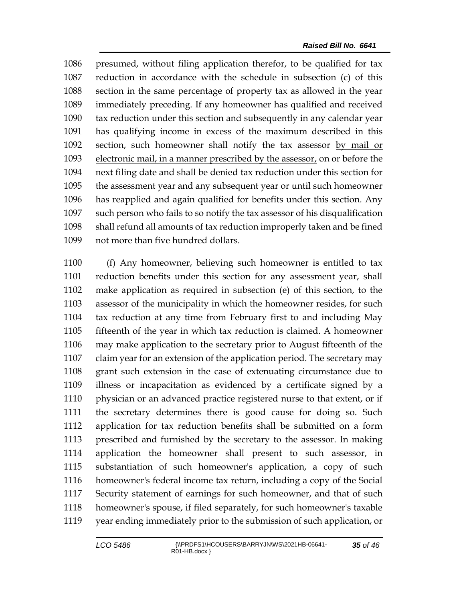presumed, without filing application therefor, to be qualified for tax reduction in accordance with the schedule in subsection (c) of this section in the same percentage of property tax as allowed in the year immediately preceding. If any homeowner has qualified and received tax reduction under this section and subsequently in any calendar year has qualifying income in excess of the maximum described in this 1092 section, such homeowner shall notify the tax assessor by mail or electronic mail, in a manner prescribed by the assessor, on or before the next filing date and shall be denied tax reduction under this section for the assessment year and any subsequent year or until such homeowner has reapplied and again qualified for benefits under this section. Any such person who fails to so notify the tax assessor of his disqualification shall refund all amounts of tax reduction improperly taken and be fined not more than five hundred dollars.

 (f) Any homeowner, believing such homeowner is entitled to tax reduction benefits under this section for any assessment year, shall make application as required in subsection (e) of this section, to the assessor of the municipality in which the homeowner resides, for such tax reduction at any time from February first to and including May fifteenth of the year in which tax reduction is claimed. A homeowner may make application to the secretary prior to August fifteenth of the claim year for an extension of the application period. The secretary may grant such extension in the case of extenuating circumstance due to illness or incapacitation as evidenced by a certificate signed by a physician or an advanced practice registered nurse to that extent, or if the secretary determines there is good cause for doing so. Such application for tax reduction benefits shall be submitted on a form prescribed and furnished by the secretary to the assessor. In making application the homeowner shall present to such assessor, in substantiation of such homeowner's application, a copy of such homeowner's federal income tax return, including a copy of the Social Security statement of earnings for such homeowner, and that of such homeowner's spouse, if filed separately, for such homeowner's taxable year ending immediately prior to the submission of such application, or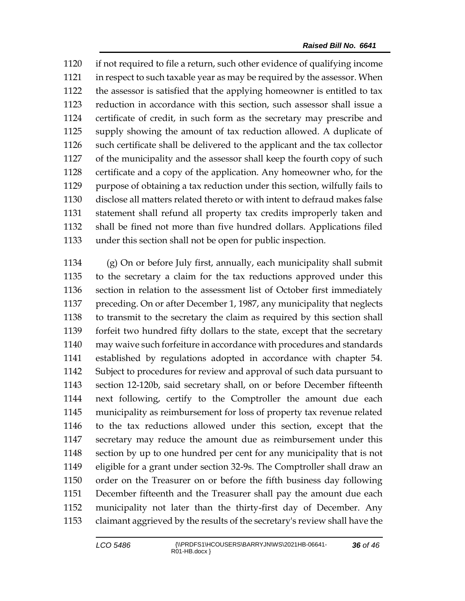if not required to file a return, such other evidence of qualifying income in respect to such taxable year as may be required by the assessor. When the assessor is satisfied that the applying homeowner is entitled to tax reduction in accordance with this section, such assessor shall issue a certificate of credit, in such form as the secretary may prescribe and supply showing the amount of tax reduction allowed. A duplicate of such certificate shall be delivered to the applicant and the tax collector of the municipality and the assessor shall keep the fourth copy of such certificate and a copy of the application. Any homeowner who, for the purpose of obtaining a tax reduction under this section, wilfully fails to disclose all matters related thereto or with intent to defraud makes false statement shall refund all property tax credits improperly taken and shall be fined not more than five hundred dollars. Applications filed under this section shall not be open for public inspection.

 (g) On or before July first, annually, each municipality shall submit to the secretary a claim for the tax reductions approved under this section in relation to the assessment list of October first immediately preceding. On or after December 1, 1987, any municipality that neglects to transmit to the secretary the claim as required by this section shall forfeit two hundred fifty dollars to the state, except that the secretary may waive such forfeiture in accordance with procedures and standards established by regulations adopted in accordance with chapter 54. Subject to procedures for review and approval of such data pursuant to section 12-120b, said secretary shall, on or before December fifteenth next following, certify to the Comptroller the amount due each municipality as reimbursement for loss of property tax revenue related to the tax reductions allowed under this section, except that the secretary may reduce the amount due as reimbursement under this section by up to one hundred per cent for any municipality that is not eligible for a grant under section 32-9s. The Comptroller shall draw an order on the Treasurer on or before the fifth business day following December fifteenth and the Treasurer shall pay the amount due each municipality not later than the thirty-first day of December. Any claimant aggrieved by the results of the secretary's review shall have the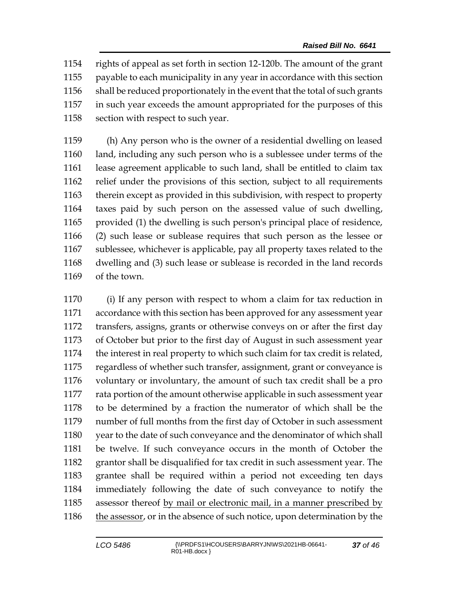rights of appeal as set forth in section 12-120b. The amount of the grant payable to each municipality in any year in accordance with this section shall be reduced proportionately in the event that the total of such grants in such year exceeds the amount appropriated for the purposes of this 1158 section with respect to such year.

 (h) Any person who is the owner of a residential dwelling on leased land, including any such person who is a sublessee under terms of the lease agreement applicable to such land, shall be entitled to claim tax relief under the provisions of this section, subject to all requirements therein except as provided in this subdivision, with respect to property taxes paid by such person on the assessed value of such dwelling, provided (1) the dwelling is such person's principal place of residence, (2) such lease or sublease requires that such person as the lessee or sublessee, whichever is applicable, pay all property taxes related to the dwelling and (3) such lease or sublease is recorded in the land records of the town.

 (i) If any person with respect to whom a claim for tax reduction in accordance with this section has been approved for any assessment year transfers, assigns, grants or otherwise conveys on or after the first day of October but prior to the first day of August in such assessment year the interest in real property to which such claim for tax credit is related, regardless of whether such transfer, assignment, grant or conveyance is voluntary or involuntary, the amount of such tax credit shall be a pro rata portion of the amount otherwise applicable in such assessment year to be determined by a fraction the numerator of which shall be the number of full months from the first day of October in such assessment year to the date of such conveyance and the denominator of which shall be twelve. If such conveyance occurs in the month of October the grantor shall be disqualified for tax credit in such assessment year. The grantee shall be required within a period not exceeding ten days immediately following the date of such conveyance to notify the 1185 assessor thereof by mail or electronic mail, in a manner prescribed by 1186 the assessor, or in the absence of such notice, upon determination by the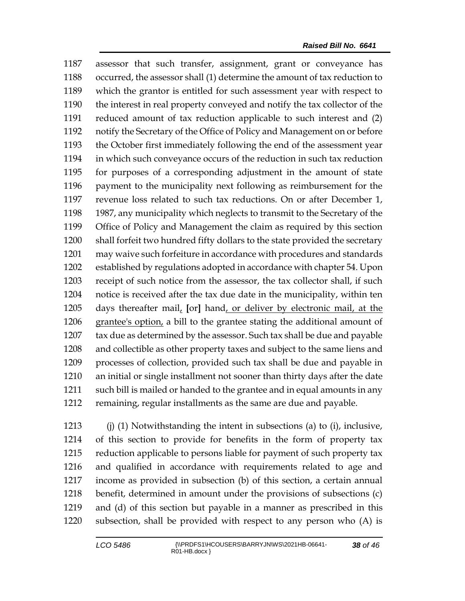assessor that such transfer, assignment, grant or conveyance has occurred, the assessor shall (1) determine the amount of tax reduction to which the grantor is entitled for such assessment year with respect to the interest in real property conveyed and notify the tax collector of the reduced amount of tax reduction applicable to such interest and (2) notify the Secretary of the Office of Policy and Management on or before the October first immediately following the end of the assessment year in which such conveyance occurs of the reduction in such tax reduction for purposes of a corresponding adjustment in the amount of state payment to the municipality next following as reimbursement for the revenue loss related to such tax reductions. On or after December 1, 1987, any municipality which neglects to transmit to the Secretary of the Office of Policy and Management the claim as required by this section shall forfeit two hundred fifty dollars to the state provided the secretary may waive such forfeiture in accordance with procedures and standards established by regulations adopted in accordance with chapter 54. Upon receipt of such notice from the assessor, the tax collector shall, if such notice is received after the tax due date in the municipality, within ten days thereafter mail, **[**or**]** hand, or deliver by electronic mail, at the grantee's option, a bill to the grantee stating the additional amount of tax due as determined by the assessor. Such tax shall be due and payable and collectible as other property taxes and subject to the same liens and processes of collection, provided such tax shall be due and payable in an initial or single installment not sooner than thirty days after the date such bill is mailed or handed to the grantee and in equal amounts in any remaining, regular installments as the same are due and payable.

 (j) (1) Notwithstanding the intent in subsections (a) to (i), inclusive, of this section to provide for benefits in the form of property tax reduction applicable to persons liable for payment of such property tax and qualified in accordance with requirements related to age and income as provided in subsection (b) of this section, a certain annual benefit, determined in amount under the provisions of subsections (c) and (d) of this section but payable in a manner as prescribed in this subsection, shall be provided with respect to any person who (A) is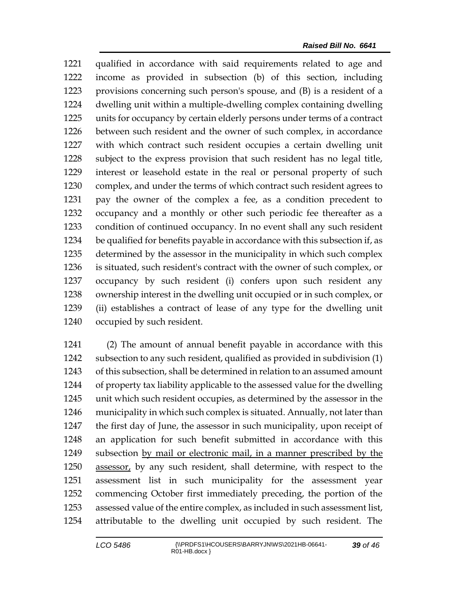qualified in accordance with said requirements related to age and income as provided in subsection (b) of this section, including provisions concerning such person's spouse, and (B) is a resident of a dwelling unit within a multiple-dwelling complex containing dwelling units for occupancy by certain elderly persons under terms of a contract between such resident and the owner of such complex, in accordance with which contract such resident occupies a certain dwelling unit subject to the express provision that such resident has no legal title, interest or leasehold estate in the real or personal property of such complex, and under the terms of which contract such resident agrees to pay the owner of the complex a fee, as a condition precedent to occupancy and a monthly or other such periodic fee thereafter as a condition of continued occupancy. In no event shall any such resident be qualified for benefits payable in accordance with this subsection if, as determined by the assessor in the municipality in which such complex is situated, such resident's contract with the owner of such complex, or occupancy by such resident (i) confers upon such resident any ownership interest in the dwelling unit occupied or in such complex, or (ii) establishes a contract of lease of any type for the dwelling unit occupied by such resident.

 (2) The amount of annual benefit payable in accordance with this subsection to any such resident, qualified as provided in subdivision (1) of this subsection, shall be determined in relation to an assumed amount of property tax liability applicable to the assessed value for the dwelling unit which such resident occupies, as determined by the assessor in the municipality in which such complex is situated. Annually, not later than the first day of June, the assessor in such municipality, upon receipt of an application for such benefit submitted in accordance with this subsection by mail or electronic mail, in a manner prescribed by the 1250 assessor, by any such resident, shall determine, with respect to the assessment list in such municipality for the assessment year commencing October first immediately preceding, the portion of the assessed value of the entire complex, as included in such assessment list, attributable to the dwelling unit occupied by such resident. The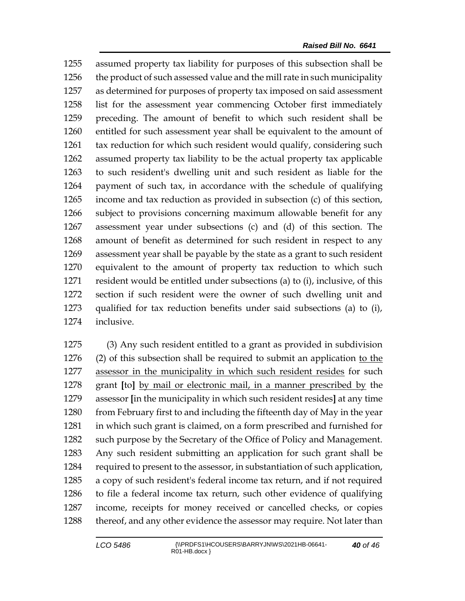assumed property tax liability for purposes of this subsection shall be the product of such assessed value and the mill rate in such municipality as determined for purposes of property tax imposed on said assessment list for the assessment year commencing October first immediately preceding. The amount of benefit to which such resident shall be entitled for such assessment year shall be equivalent to the amount of tax reduction for which such resident would qualify, considering such assumed property tax liability to be the actual property tax applicable to such resident's dwelling unit and such resident as liable for the payment of such tax, in accordance with the schedule of qualifying income and tax reduction as provided in subsection (c) of this section, subject to provisions concerning maximum allowable benefit for any assessment year under subsections (c) and (d) of this section. The amount of benefit as determined for such resident in respect to any assessment year shall be payable by the state as a grant to such resident equivalent to the amount of property tax reduction to which such resident would be entitled under subsections (a) to (i), inclusive, of this section if such resident were the owner of such dwelling unit and qualified for tax reduction benefits under said subsections (a) to (i), inclusive.

 (3) Any such resident entitled to a grant as provided in subdivision (2) of this subsection shall be required to submit an application to the assessor in the municipality in which such resident resides for such grant **[**to**]** by mail or electronic mail, in a manner prescribed by the assessor **[**in the municipality in which such resident resides**]** at any time 1280 from February first to and including the fifteenth day of May in the year in which such grant is claimed, on a form prescribed and furnished for such purpose by the Secretary of the Office of Policy and Management. Any such resident submitting an application for such grant shall be required to present to the assessor, in substantiation of such application, a copy of such resident's federal income tax return, and if not required to file a federal income tax return, such other evidence of qualifying income, receipts for money received or cancelled checks, or copies 1288 thereof, and any other evidence the assessor may require. Not later than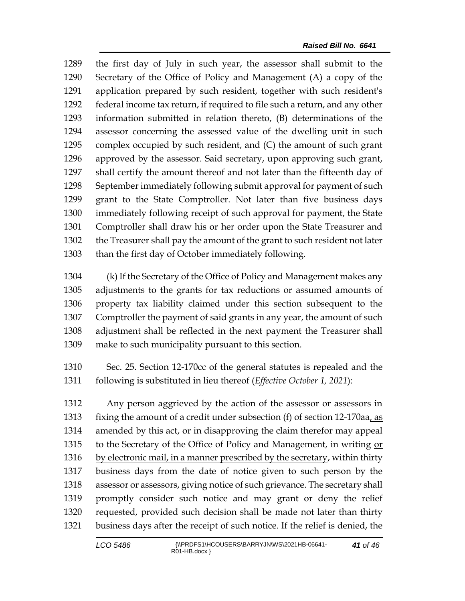the first day of July in such year, the assessor shall submit to the Secretary of the Office of Policy and Management (A) a copy of the application prepared by such resident, together with such resident's federal income tax return, if required to file such a return, and any other information submitted in relation thereto, (B) determinations of the assessor concerning the assessed value of the dwelling unit in such complex occupied by such resident, and (C) the amount of such grant approved by the assessor. Said secretary, upon approving such grant, shall certify the amount thereof and not later than the fifteenth day of September immediately following submit approval for payment of such grant to the State Comptroller. Not later than five business days immediately following receipt of such approval for payment, the State Comptroller shall draw his or her order upon the State Treasurer and the Treasurer shall pay the amount of the grant to such resident not later than the first day of October immediately following.

 (k) If the Secretary of the Office of Policy and Management makes any adjustments to the grants for tax reductions or assumed amounts of property tax liability claimed under this section subsequent to the Comptroller the payment of said grants in any year, the amount of such adjustment shall be reflected in the next payment the Treasurer shall make to such municipality pursuant to this section.

 Sec. 25. Section 12-170cc of the general statutes is repealed and the following is substituted in lieu thereof (*Effective October 1, 2021*):

 Any person aggrieved by the action of the assessor or assessors in fixing the amount of a credit under subsection (f) of section 12-170aa, as amended by this act, or in disapproving the claim therefor may appeal to the Secretary of the Office of Policy and Management, in writing or 1316 by electronic mail, in a manner prescribed by the secretary, within thirty business days from the date of notice given to such person by the assessor or assessors, giving notice of such grievance. The secretary shall promptly consider such notice and may grant or deny the relief requested, provided such decision shall be made not later than thirty business days after the receipt of such notice. If the relief is denied, the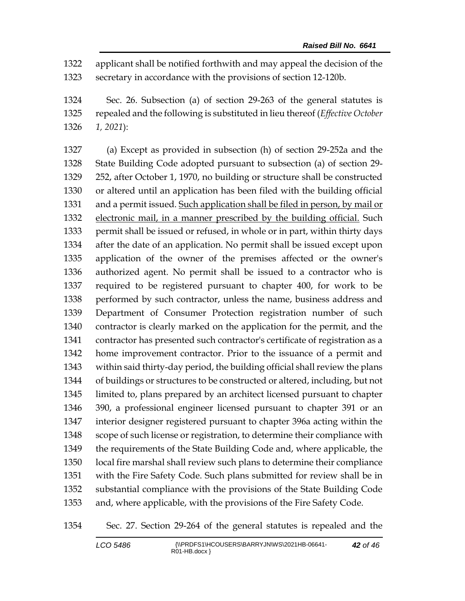applicant shall be notified forthwith and may appeal the decision of the secretary in accordance with the provisions of section 12-120b.

 Sec. 26. Subsection (a) of section 29-263 of the general statutes is repealed and the following is substituted in lieu thereof (*Effective October 1, 2021*):

 (a) Except as provided in subsection (h) of section 29-252a and the State Building Code adopted pursuant to subsection (a) of section 29- 252, after October 1, 1970, no building or structure shall be constructed or altered until an application has been filed with the building official 1331 and a permit issued. Such application shall be filed in person, by mail or electronic mail, in a manner prescribed by the building official. Such permit shall be issued or refused, in whole or in part, within thirty days after the date of an application. No permit shall be issued except upon application of the owner of the premises affected or the owner's authorized agent. No permit shall be issued to a contractor who is required to be registered pursuant to chapter 400, for work to be performed by such contractor, unless the name, business address and Department of Consumer Protection registration number of such contractor is clearly marked on the application for the permit, and the contractor has presented such contractor's certificate of registration as a home improvement contractor. Prior to the issuance of a permit and within said thirty-day period, the building official shall review the plans of buildings or structures to be constructed or altered, including, but not limited to, plans prepared by an architect licensed pursuant to chapter 390, a professional engineer licensed pursuant to chapter 391 or an interior designer registered pursuant to chapter 396a acting within the scope of such license or registration, to determine their compliance with the requirements of the State Building Code and, where applicable, the local fire marshal shall review such plans to determine their compliance with the Fire Safety Code. Such plans submitted for review shall be in substantial compliance with the provisions of the State Building Code and, where applicable, with the provisions of the Fire Safety Code.

Sec. 27. Section 29-264 of the general statutes is repealed and the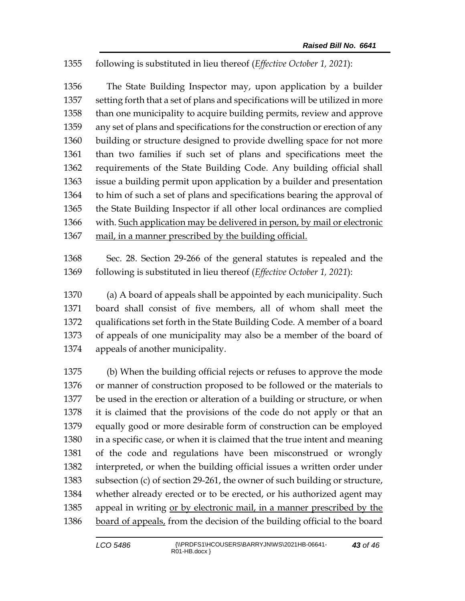## following is substituted in lieu thereof (*Effective October 1, 2021*):

 The State Building Inspector may, upon application by a builder setting forth that a set of plans and specifications will be utilized in more than one municipality to acquire building permits, review and approve any set of plans and specifications for the construction or erection of any building or structure designed to provide dwelling space for not more than two families if such set of plans and specifications meet the requirements of the State Building Code. Any building official shall issue a building permit upon application by a builder and presentation to him of such a set of plans and specifications bearing the approval of the State Building Inspector if all other local ordinances are complied with. Such application may be delivered in person, by mail or electronic 1367 mail, in a manner prescribed by the building official.

 Sec. 28. Section 29-266 of the general statutes is repealed and the following is substituted in lieu thereof (*Effective October 1, 2021*):

 (a) A board of appeals shall be appointed by each municipality. Such board shall consist of five members, all of whom shall meet the qualifications set forth in the State Building Code. A member of a board of appeals of one municipality may also be a member of the board of appeals of another municipality.

 (b) When the building official rejects or refuses to approve the mode or manner of construction proposed to be followed or the materials to be used in the erection or alteration of a building or structure, or when it is claimed that the provisions of the code do not apply or that an equally good or more desirable form of construction can be employed in a specific case, or when it is claimed that the true intent and meaning of the code and regulations have been misconstrued or wrongly interpreted, or when the building official issues a written order under subsection (c) of section 29-261, the owner of such building or structure, whether already erected or to be erected, or his authorized agent may 1385 appeal in writing or by electronic mail, in a manner prescribed by the board of appeals, from the decision of the building official to the board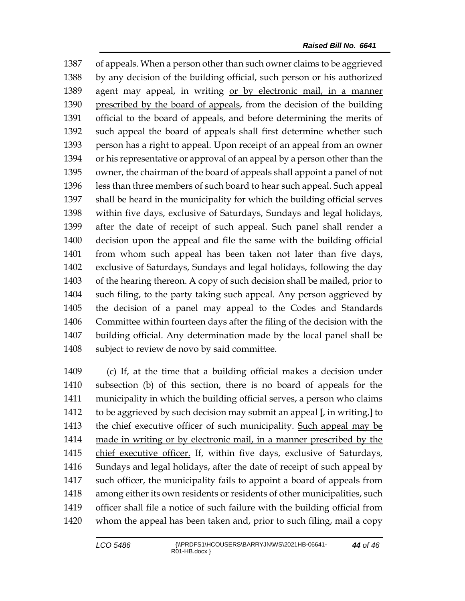of appeals. When a person other than such owner claims to be aggrieved by any decision of the building official, such person or his authorized agent may appeal, in writing or by electronic mail, in a manner prescribed by the board of appeals, from the decision of the building official to the board of appeals, and before determining the merits of such appeal the board of appeals shall first determine whether such person has a right to appeal. Upon receipt of an appeal from an owner or his representative or approval of an appeal by a person other than the owner, the chairman of the board of appeals shall appoint a panel of not less than three members of such board to hear such appeal. Such appeal shall be heard in the municipality for which the building official serves within five days, exclusive of Saturdays, Sundays and legal holidays, after the date of receipt of such appeal. Such panel shall render a decision upon the appeal and file the same with the building official from whom such appeal has been taken not later than five days, exclusive of Saturdays, Sundays and legal holidays, following the day of the hearing thereon. A copy of such decision shall be mailed, prior to 1404 such filing, to the party taking such appeal. Any person aggrieved by the decision of a panel may appeal to the Codes and Standards Committee within fourteen days after the filing of the decision with the building official. Any determination made by the local panel shall be subject to review de novo by said committee.

 (c) If, at the time that a building official makes a decision under subsection (b) of this section, there is no board of appeals for the municipality in which the building official serves, a person who claims to be aggrieved by such decision may submit an appeal **[**, in writing,**]** to the chief executive officer of such municipality. Such appeal may be made in writing or by electronic mail, in a manner prescribed by the 1415 chief executive officer. If, within five days, exclusive of Saturdays, Sundays and legal holidays, after the date of receipt of such appeal by such officer, the municipality fails to appoint a board of appeals from among either its own residents or residents of other municipalities, such officer shall file a notice of such failure with the building official from whom the appeal has been taken and, prior to such filing, mail a copy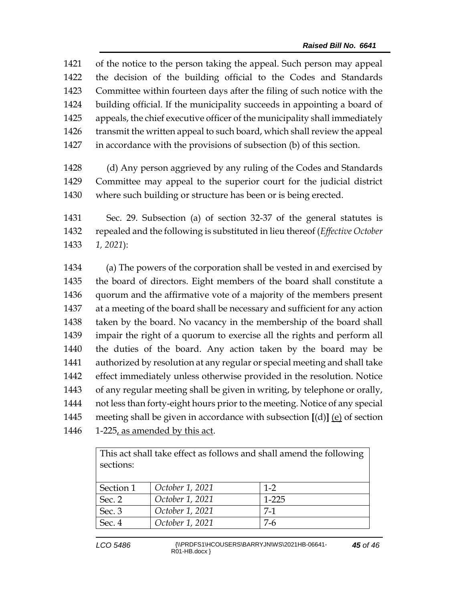of the notice to the person taking the appeal. Such person may appeal the decision of the building official to the Codes and Standards Committee within fourteen days after the filing of such notice with the building official. If the municipality succeeds in appointing a board of appeals, the chief executive officer of the municipality shall immediately transmit the written appeal to such board, which shall review the appeal in accordance with the provisions of subsection (b) of this section.

 (d) Any person aggrieved by any ruling of the Codes and Standards Committee may appeal to the superior court for the judicial district where such building or structure has been or is being erected.

 Sec. 29. Subsection (a) of section 32-37 of the general statutes is repealed and the following is substituted in lieu thereof (*Effective October 1, 2021*):

 (a) The powers of the corporation shall be vested in and exercised by the board of directors. Eight members of the board shall constitute a quorum and the affirmative vote of a majority of the members present at a meeting of the board shall be necessary and sufficient for any action taken by the board. No vacancy in the membership of the board shall impair the right of a quorum to exercise all the rights and perform all the duties of the board. Any action taken by the board may be authorized by resolution at any regular or special meeting and shall take effect immediately unless otherwise provided in the resolution. Notice of any regular meeting shall be given in writing, by telephone or orally, not less than forty-eight hours prior to the meeting. Notice of any special meeting shall be given in accordance with subsection **[**(d)**]** (e) of section 1-225, as amended by this act.

> This act shall take effect as follows and shall amend the following sections:

| Section 1 | October 1, 2021 | $1 - 2$ |
|-----------|-----------------|---------|
| Sec. $2$  | October 1, 2021 | 1-225   |
| Sec. 3    | October 1, 2021 |         |
| Sec. 4    | October 1, 2021 | 7-6     |
|           |                 |         |